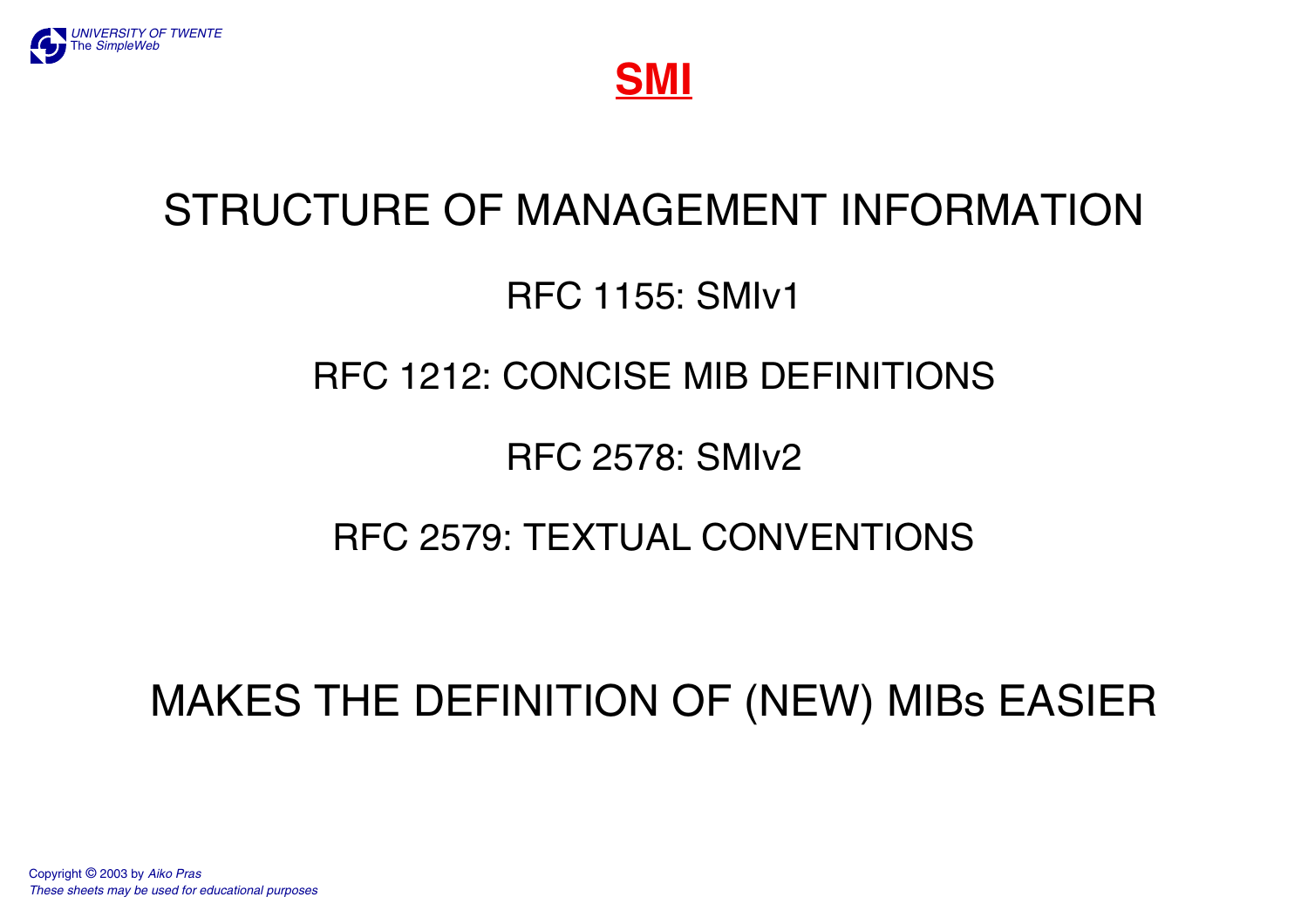

**SMI**

# STRUCTURE OF MANAGEMENT INFORMATION

## RFC 1155: SMIv1

## RFC 1212: CONCISE MIB DEFINITIONS

## RFC 2578: SMIv2

## RFC 2579: TEXTUAL CONVENTIONS

# MAKES THE DEFINITION OF (NEW) MIBs EASIER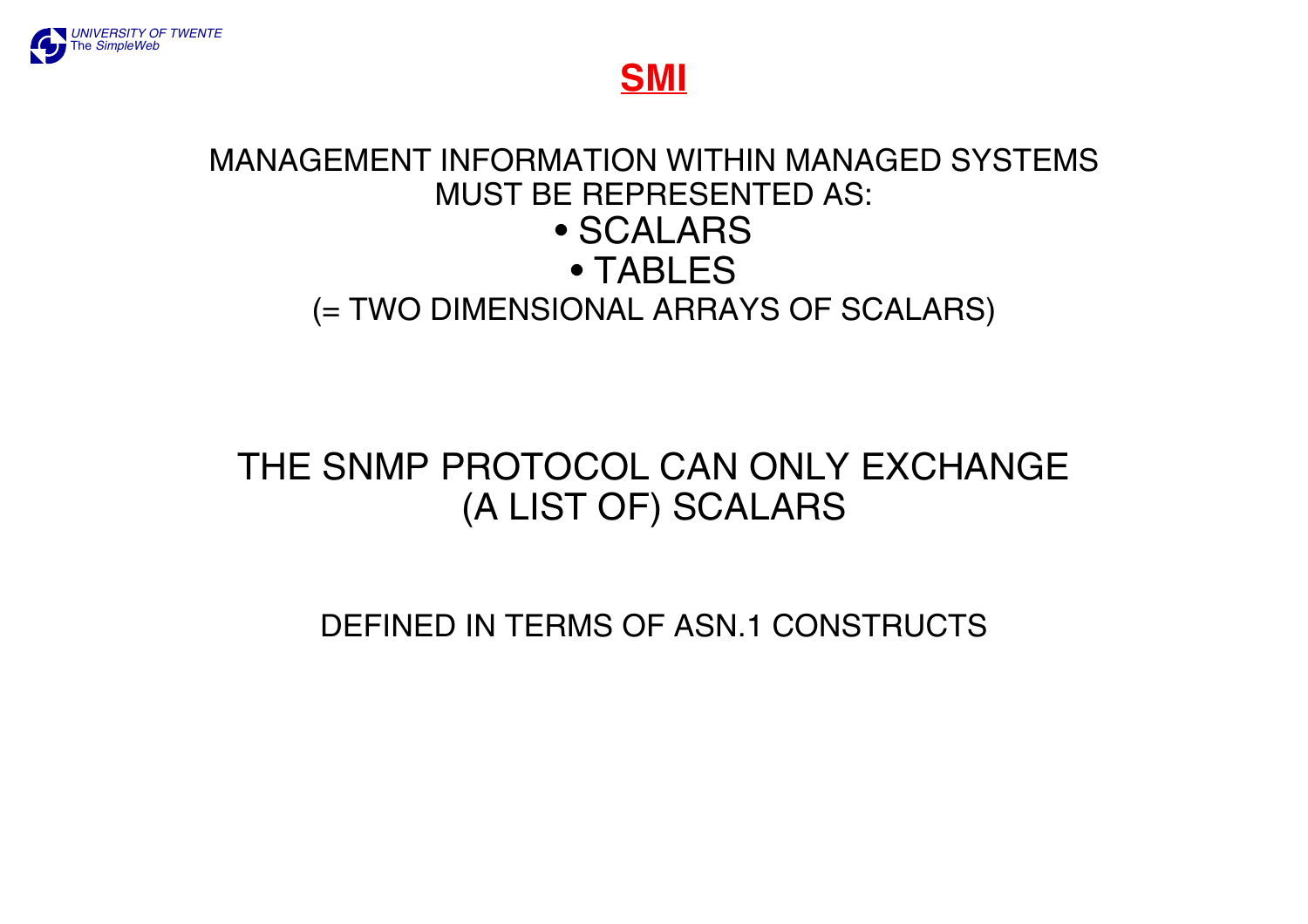

**SMI**

#### MANAGEMENT INFORMATION WITHIN MANAGED SYSTEMSMUST BE REPRESENTED AS: • SCALARS• TABLES(= TWO DIMENSIONAL ARRAYS OF SCALARS)

## THE SNMP PROTOCOL CAN ONLY EXCHANGE(A LIST OF) SCALARS

DEFINED IN TERMS OF ASN.1 CONSTRUCTS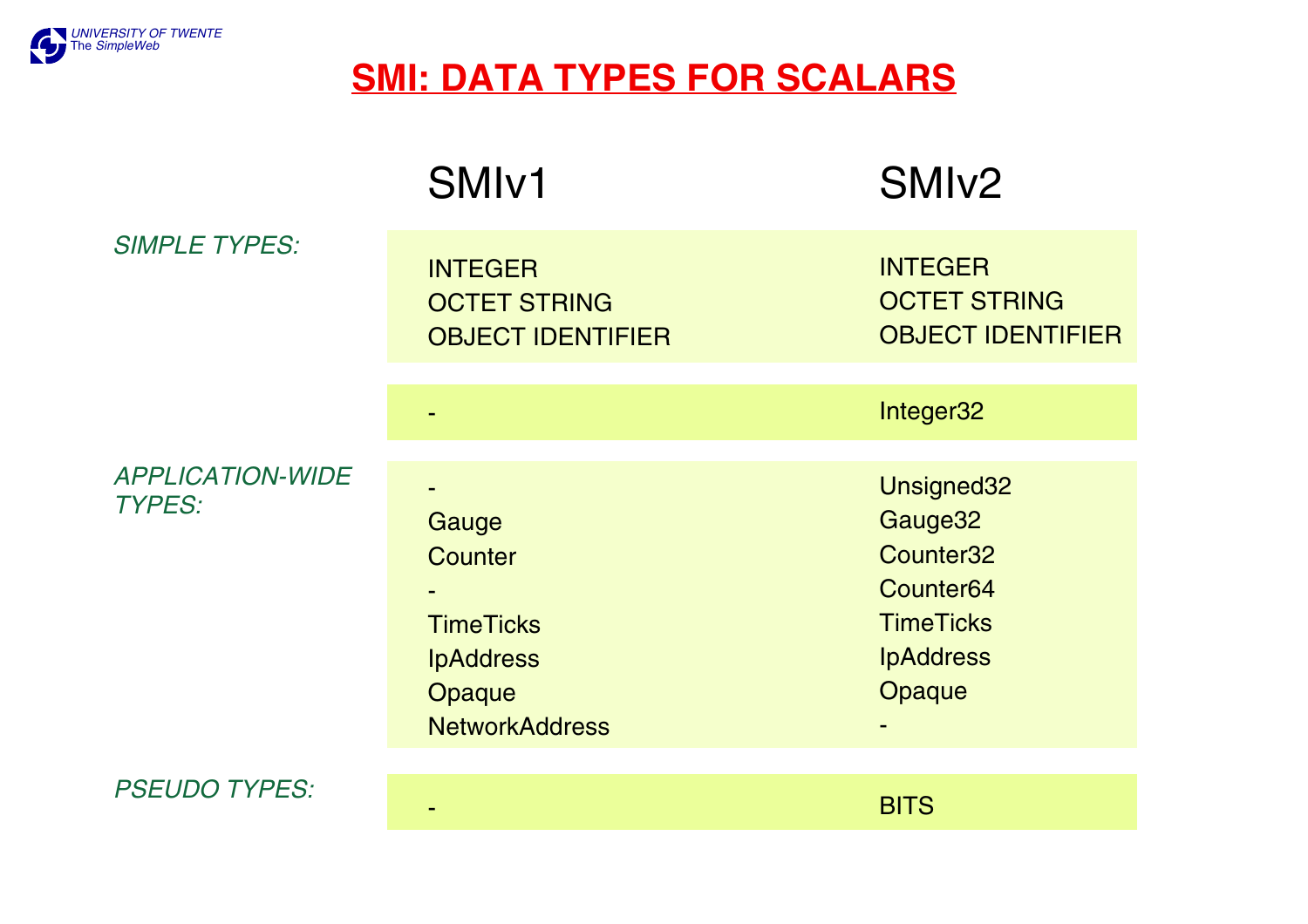

## **SMI: DATA TYPES FOR SCALARS**

| <b>SIMPLE TYPES:</b>                     | SM <sub>Iv1</sub>                                                                                  | SMI <sub>v2</sub>                                                                                                         |
|------------------------------------------|----------------------------------------------------------------------------------------------------|---------------------------------------------------------------------------------------------------------------------------|
|                                          | <b>INTEGER</b><br><b>OCTET STRING</b><br><b>OBJECT IDENTIFIER</b>                                  | <b>INTEGER</b><br><b>OCTET STRING</b><br><b>OBJECT IDENTIFIER</b>                                                         |
|                                          |                                                                                                    | Integer32                                                                                                                 |
| <b>APPLICATION-WIDE</b><br><b>TYPES:</b> | Gauge<br><b>Counter</b><br><b>TimeTicks</b><br><b>IpAddress</b><br>Opaque<br><b>NetworkAddress</b> | Unsigned32<br>Gauge32<br>Counter <sub>32</sub><br>Counter <sub>64</sub><br><b>TimeTicks</b><br><b>IpAddress</b><br>Opaque |
| <b>PSEUDO TYPES:</b>                     |                                                                                                    |                                                                                                                           |

-

BITS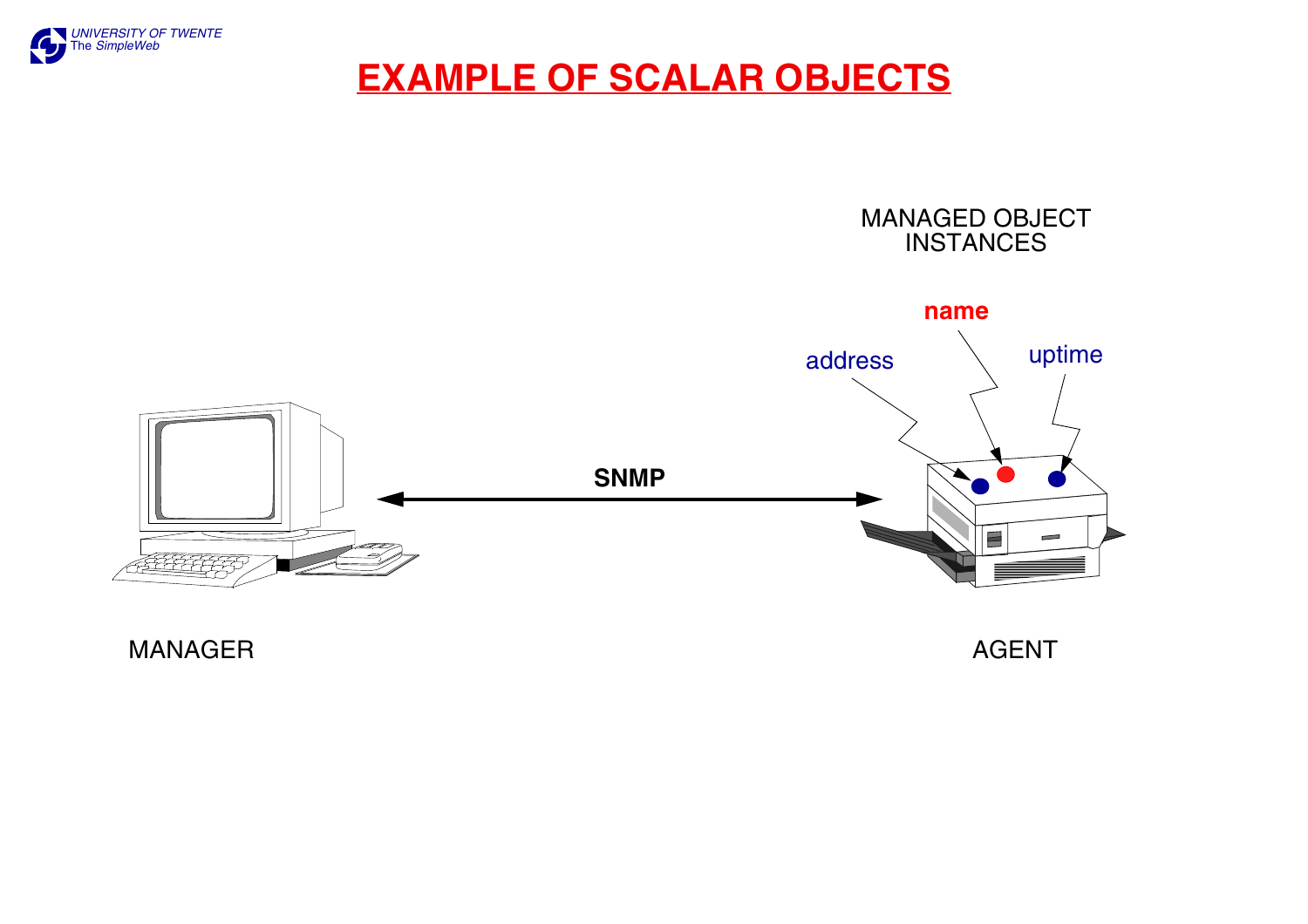

### **EXAMPLE OF SCALAR OBJECTS**



**MANAGER** 

**AGENT**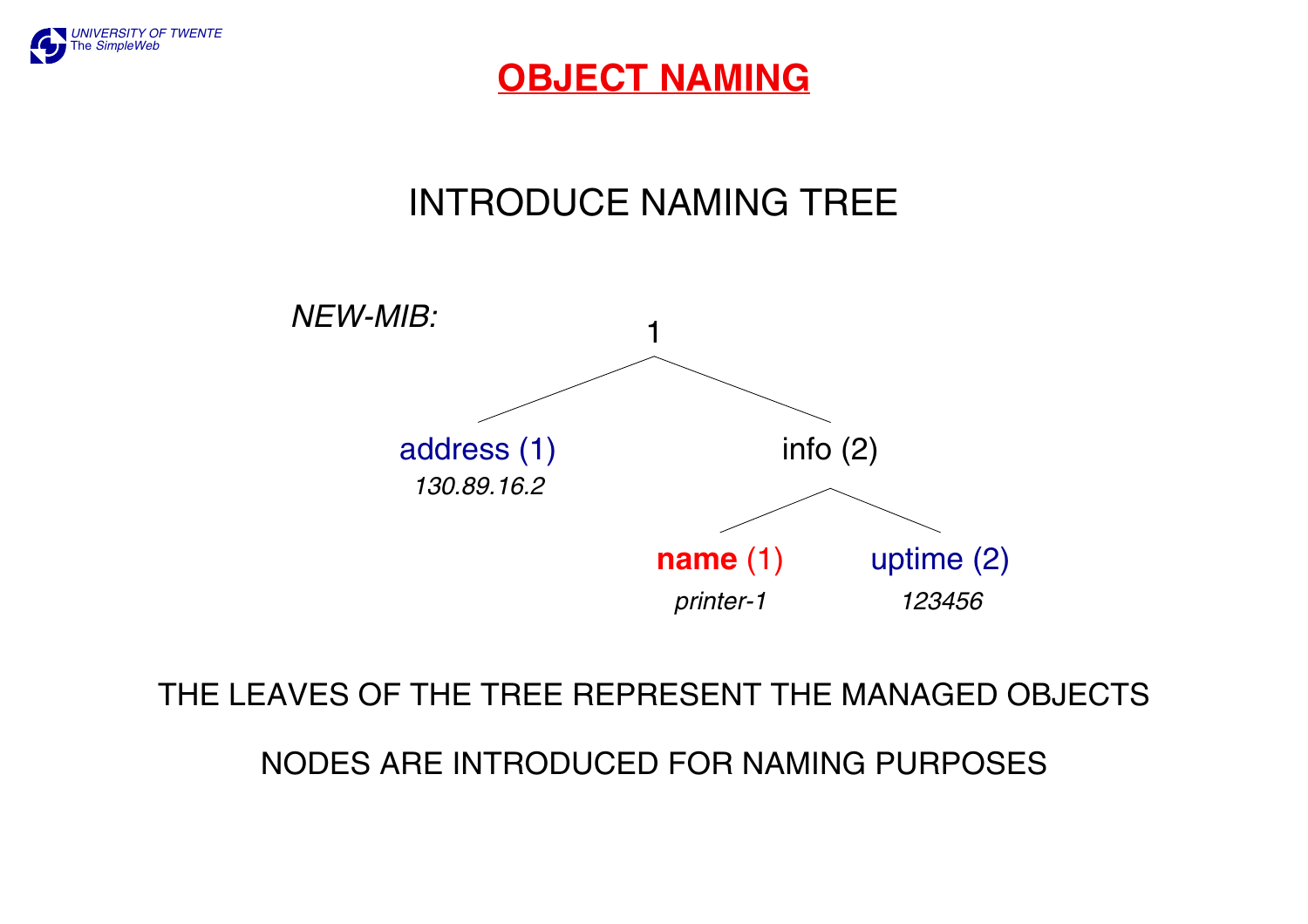

### **OBJECT NAMING**

## INTRODUCE NAMING TREE



#### THE LEAVES OF THE TREE REPRESENT THE MANAGED OBJECTS

#### NODES ARE INTRODUCED FOR NAMING PURPOSES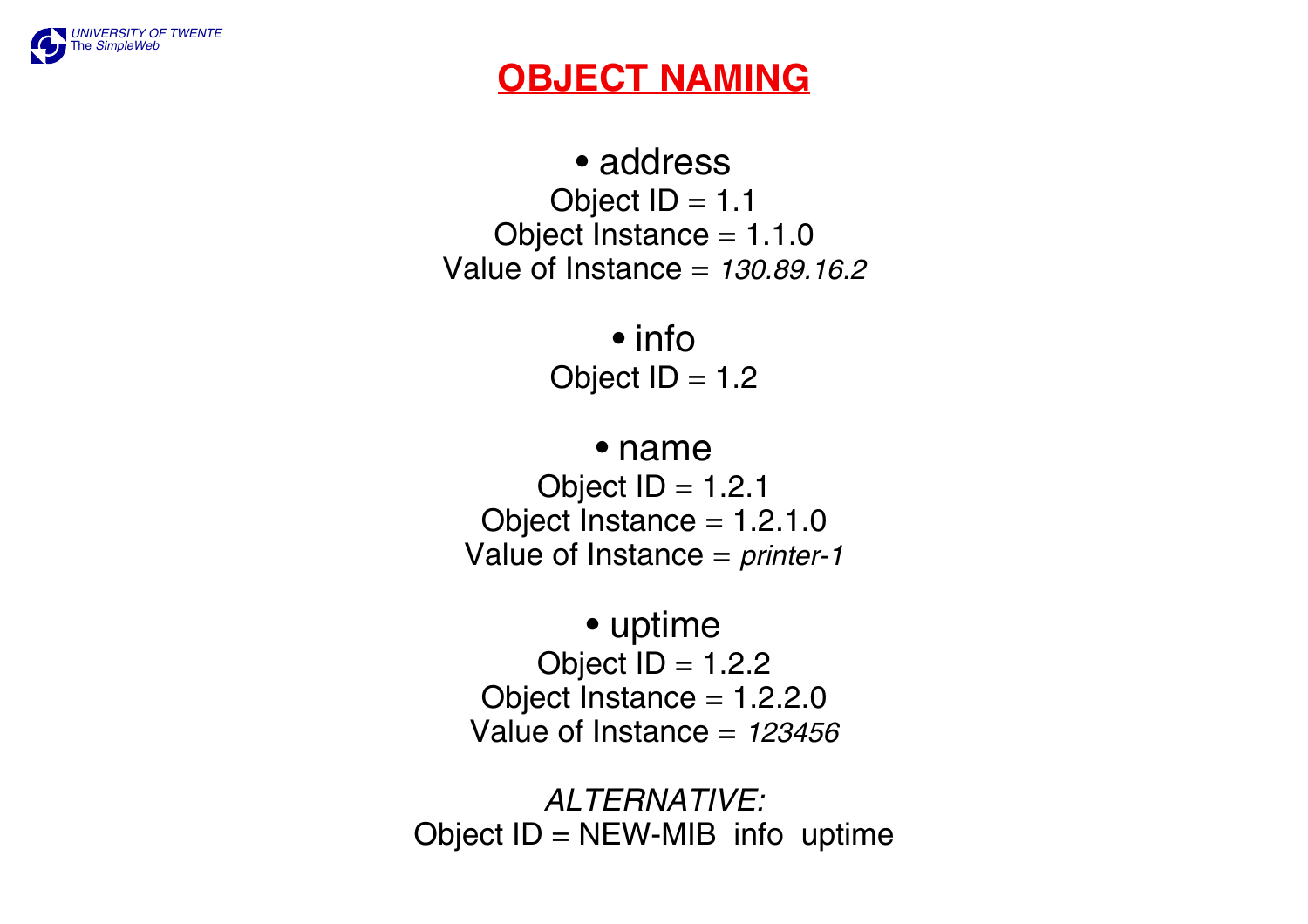

## **OBJECT NAMING**

• addressObject  $ID = 1.1$ Object Instance  $= 1.1.0$ Value of Instance = *130.89.16.2*

> • infoObject  $ID = 1.2$

#### • name

Object  $ID = 1.2.1$ Object Instance  $= 1.2.1.0$ Value of Instance = *printer-1*

• uptime Object  $ID = 1.2.2$ Object Instance  $= 1.2.2.0$ Value of Instance = *123456*

*ALTERNATIVE:*Object  $ID = NEW-MIB$  info uptime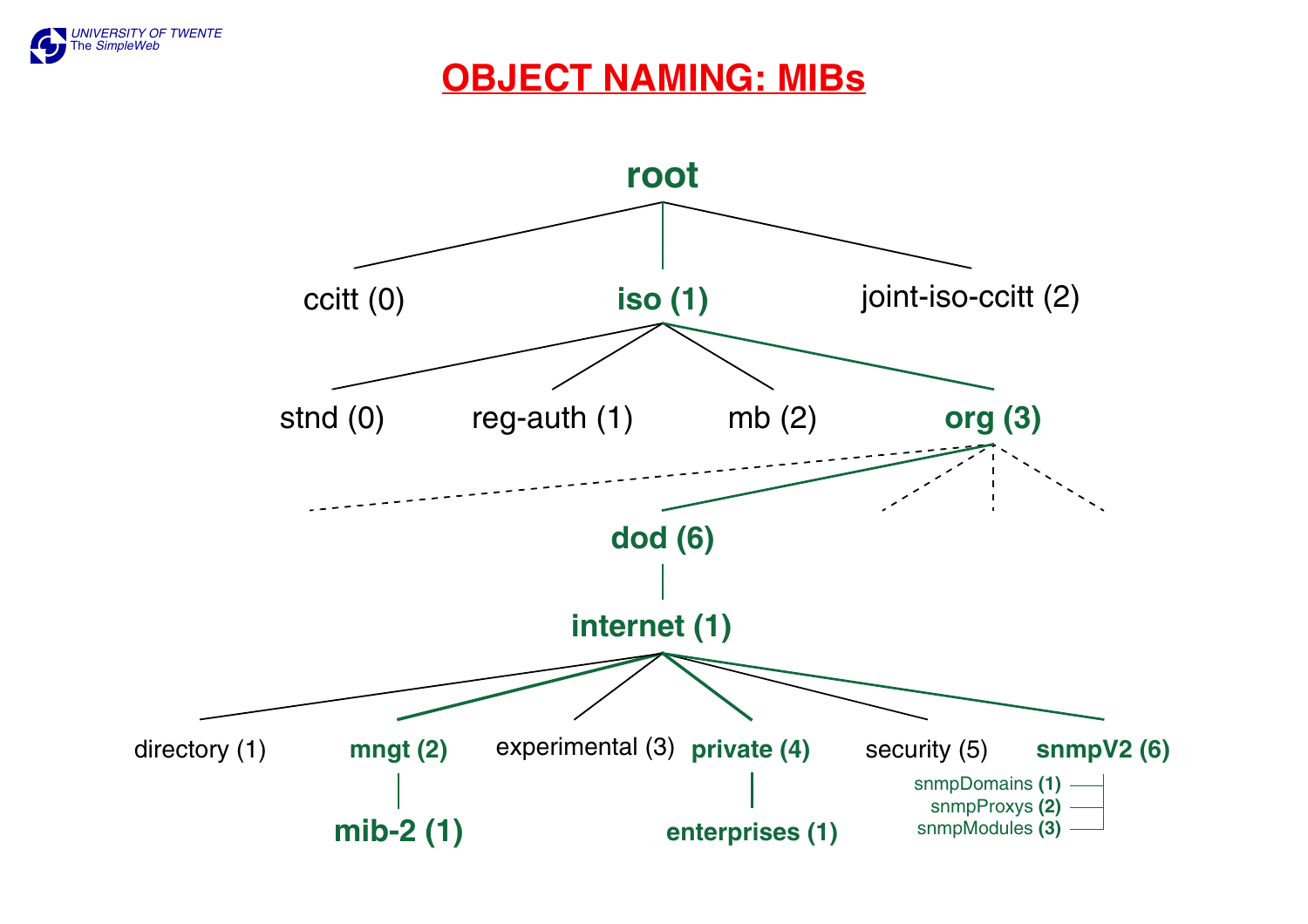

### **OBJECT NAMING: MIBs**

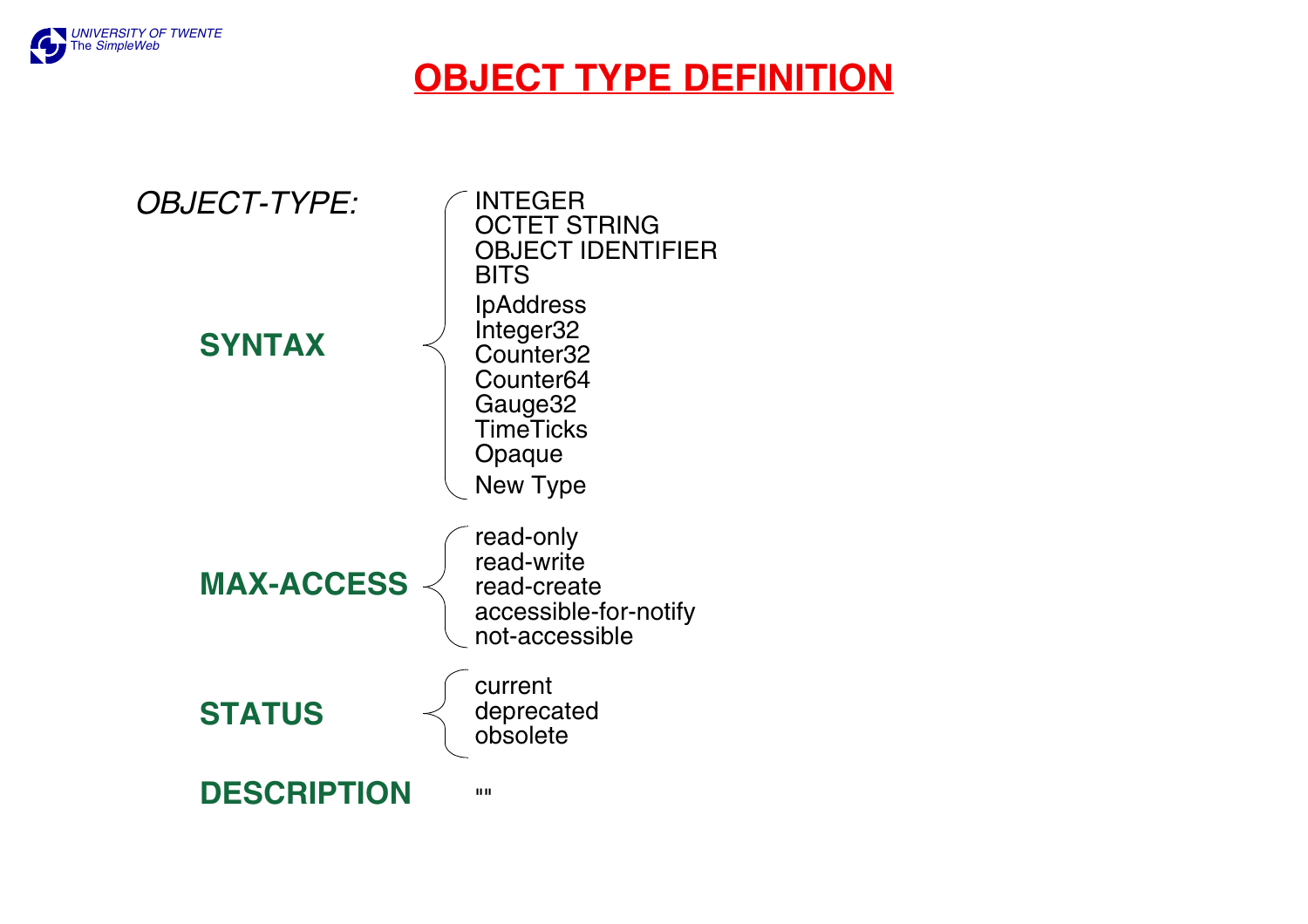

## **OBJECT TYPE DEFINITION**

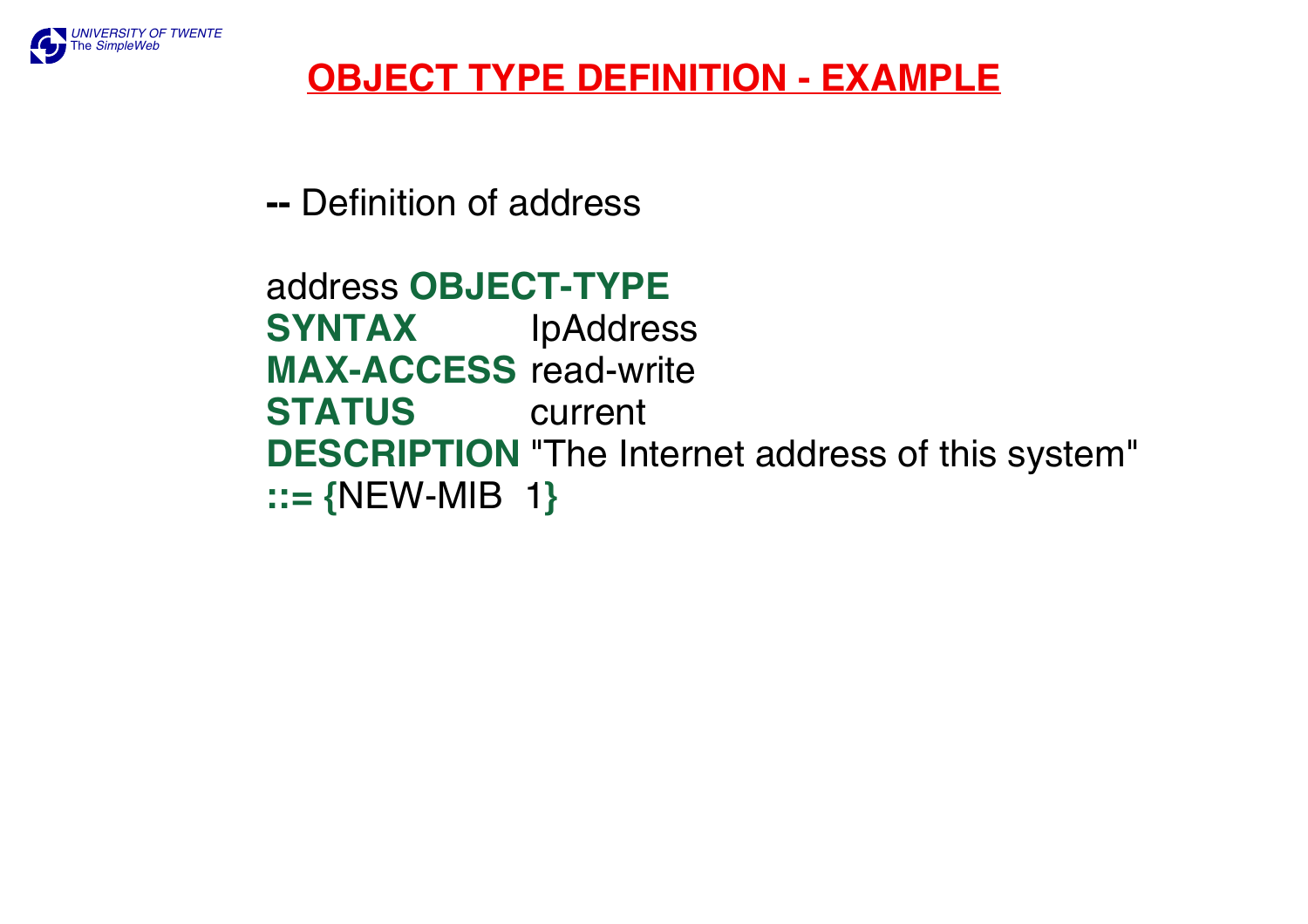

## **OBJECT TYPE DEFINITION - EXAMPLE**

**--** Definition of address

address **OBJECT-TYPESYNTAX** IpAddress **MAX-ACCESS** read-write **STATUS** current **DESCRIPTION** "The Internet address of this system" **::= {**NEW-MIB 1**}**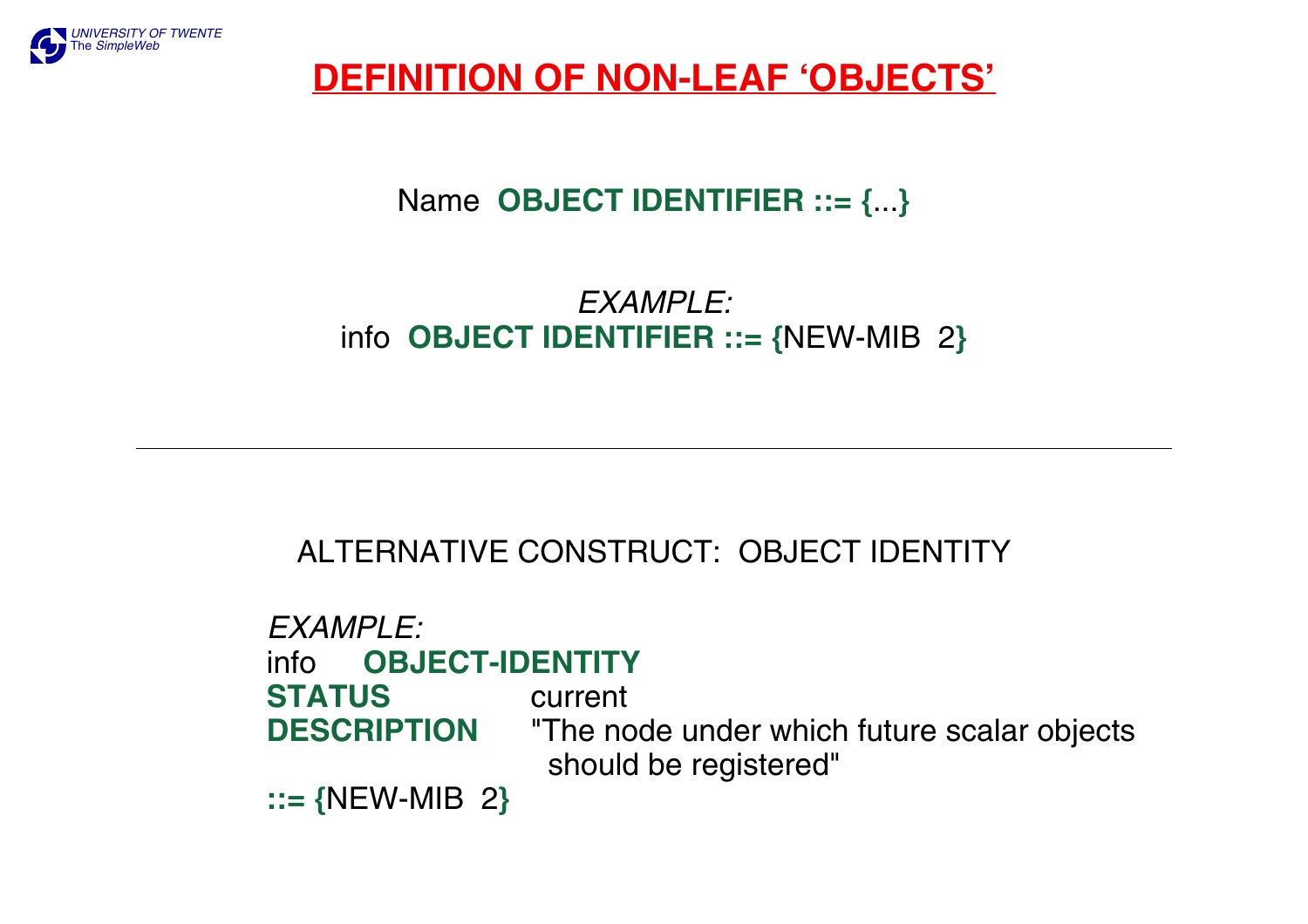

### **DEFINITION OF NON-LEAF 'OBJECTS'**

### Name **OBJECT IDENTIFIER ::= {**...**}**

#### *EXAMPLE:*info **OBJECT IDENTIFIER ::= {**NEW-MIB 2**}**

### ALTERNATIVE CONSTRUCT: OBJECT IDENTITY

*EXAMPLE:*info **OBJECT-IDENTITYSTATUS** current **DESCRIPTION** "The node under which future scalar objects should be registered" **::= {**NEW-MIB 2**}**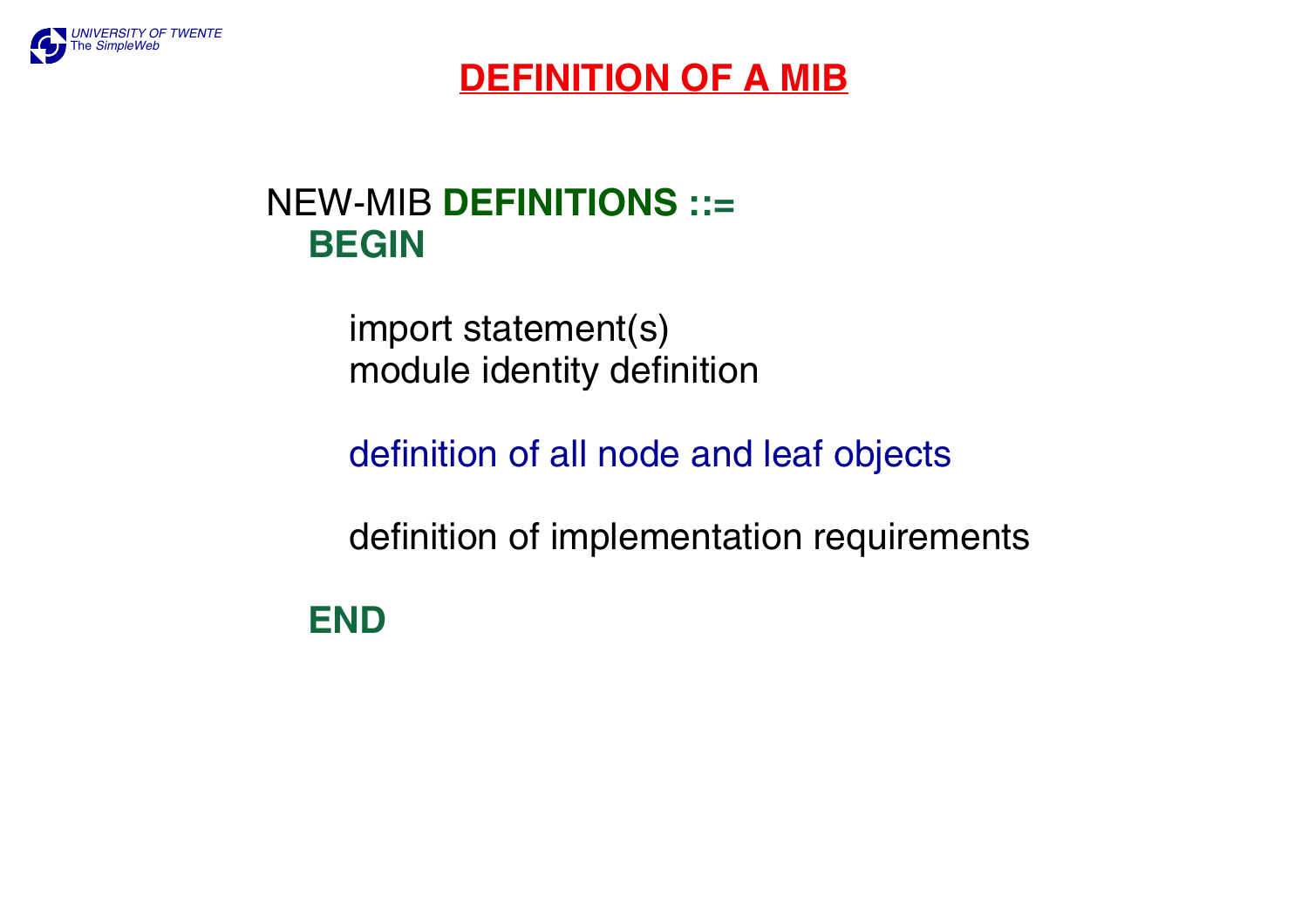

## **DEFINITION OF A MIB**

## NEW-MIB **DEFINITIONS ::= BEGIN**

 import statement(s) module identity definition

definition of all node and leaf objects

definition of implementation requirements

**END**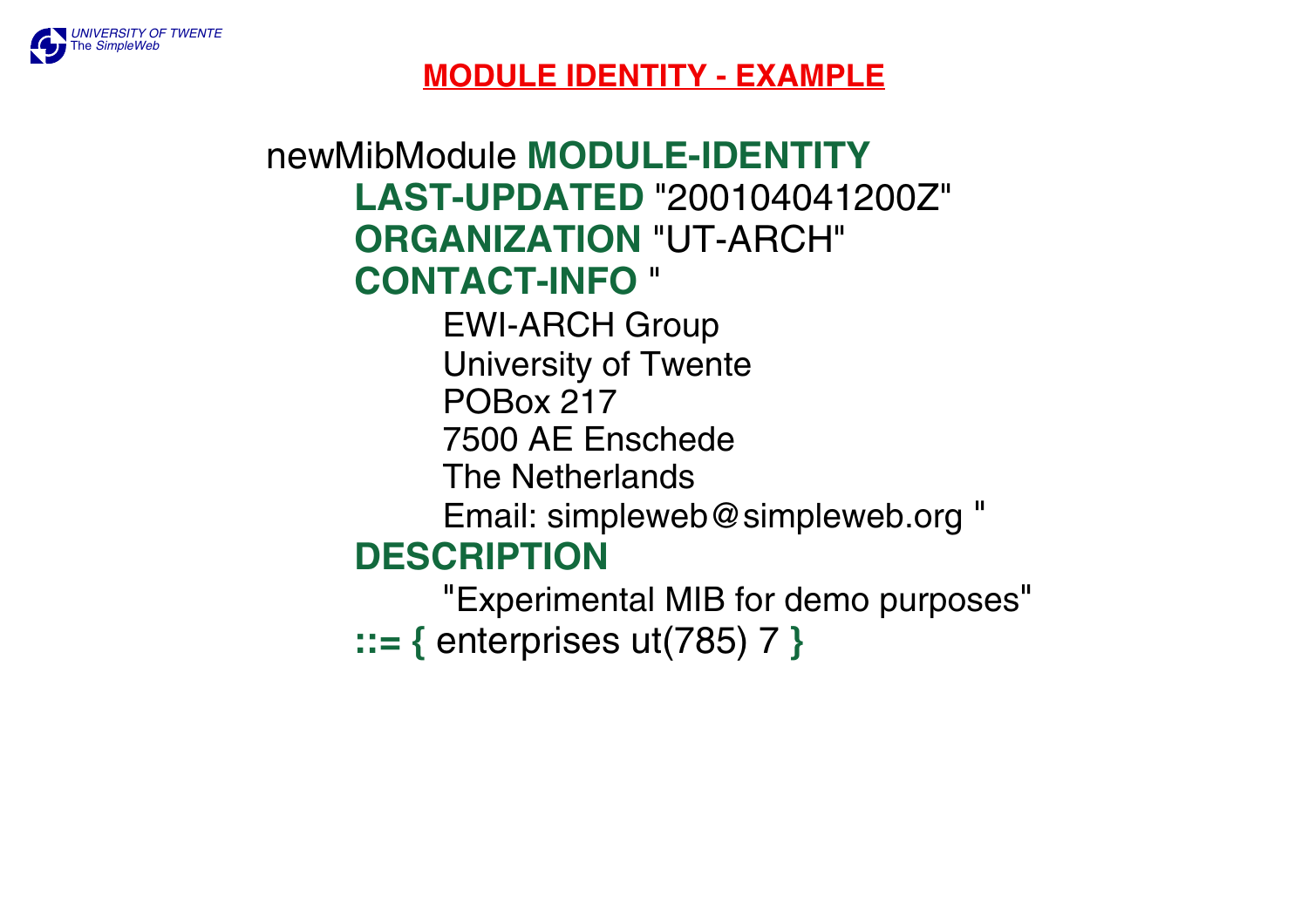

#### **MODULE IDENTITY - EXAMPLE**

## newMibModule **MODULE-IDENTITYLAST-UPDATED** "200104041200Z" **ORGANIZATION** "UT-ARCH" **CONTACT-INFO** " EWI-ARCH Group University of Twente POBox 2177500 AE Enschede The NetherlandsEmail: simpleweb@simpleweb.org " **DESCRIPTION**"Experimental MIB for demo purposes"

**::= {** enterprises ut(785) 7 **}**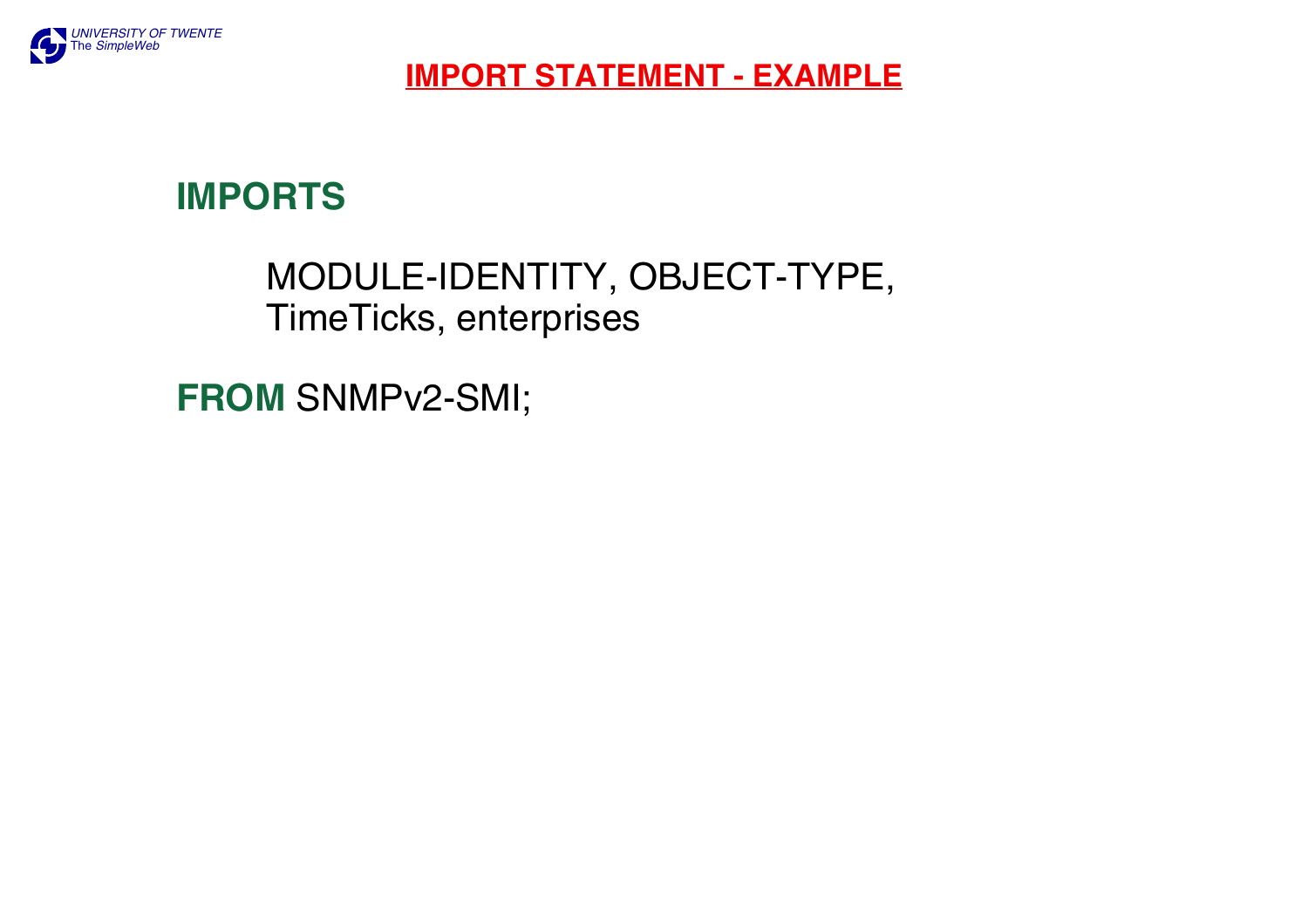

#### **IMPORT STATEMENT - EXAMPLE**

## **IMPORTS**

## MODULE-IDENTITY, OBJECT-TYPE, TimeTicks, enterprises

**FROM** SNMPv2-SMI;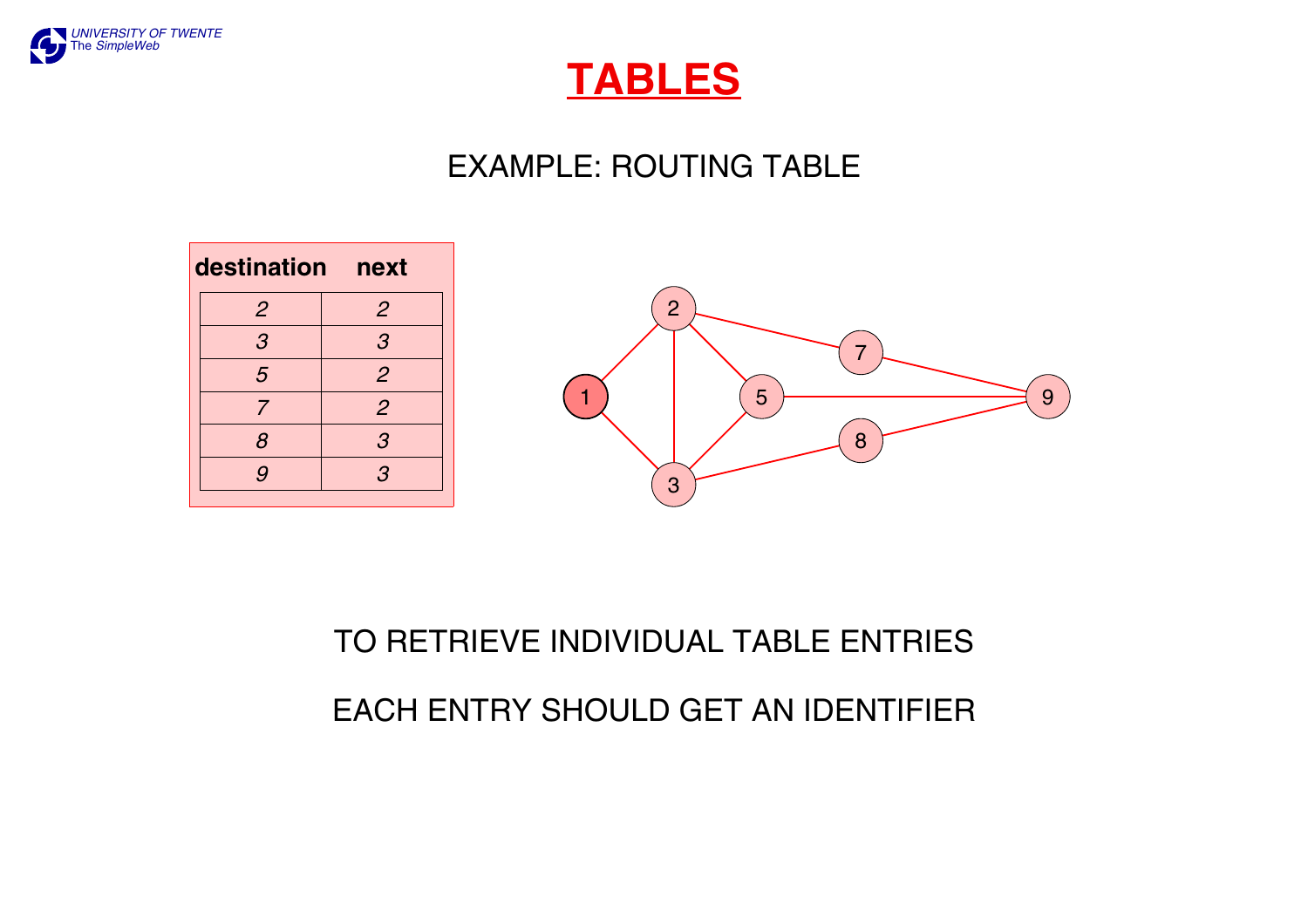

## **TABLES**

## EXAMPLE: ROUTING TABLE





# TO RETRIEVE INDIVIDUAL TABLE ENTRIES EACH ENTRY SHOULD GET AN IDENTIFIER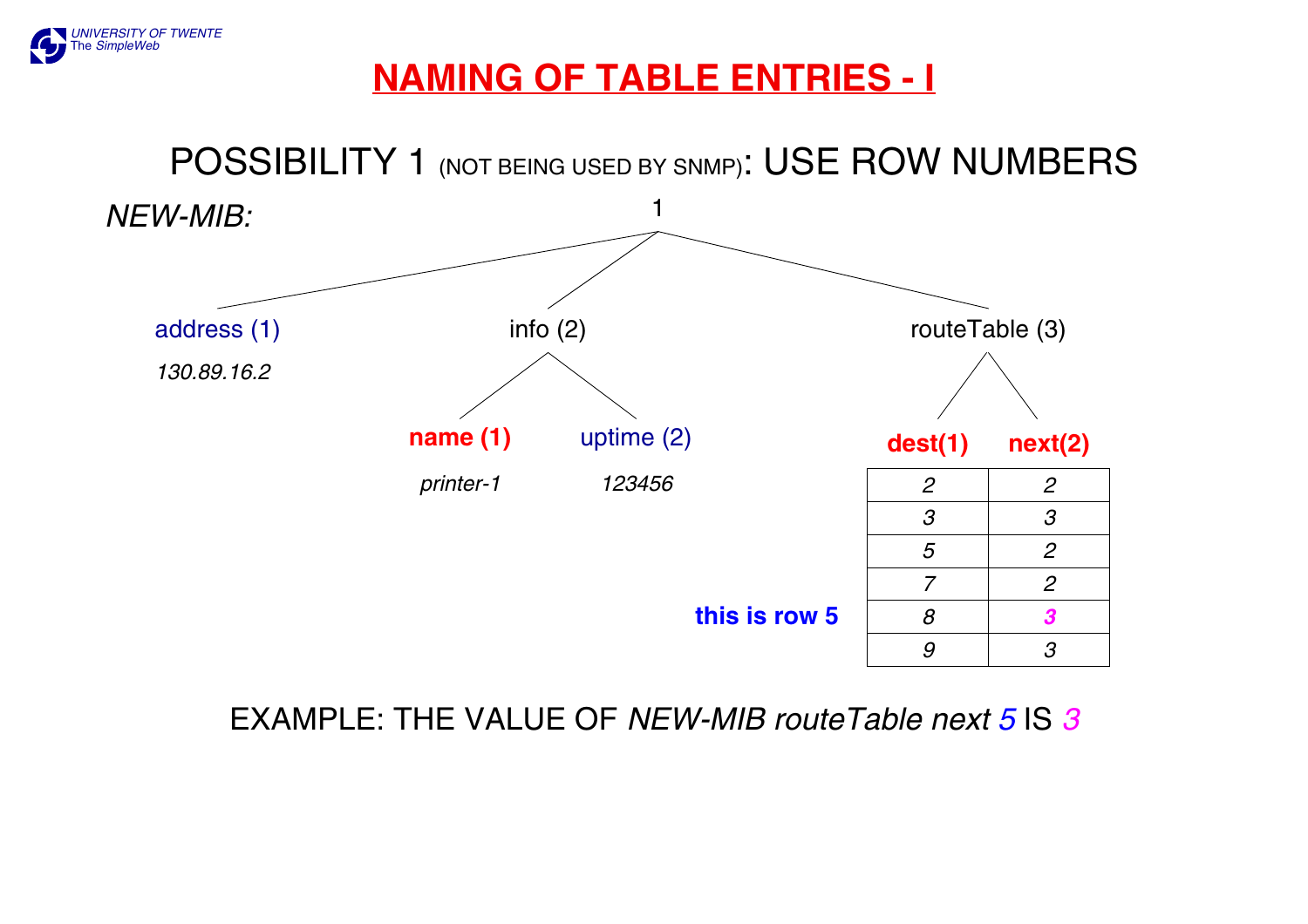

## **NAMING OF TABLE ENTRIES - I**



EXAMPLE: THE VALUE OF *NEW-MIB routeTable next 5* IS *3*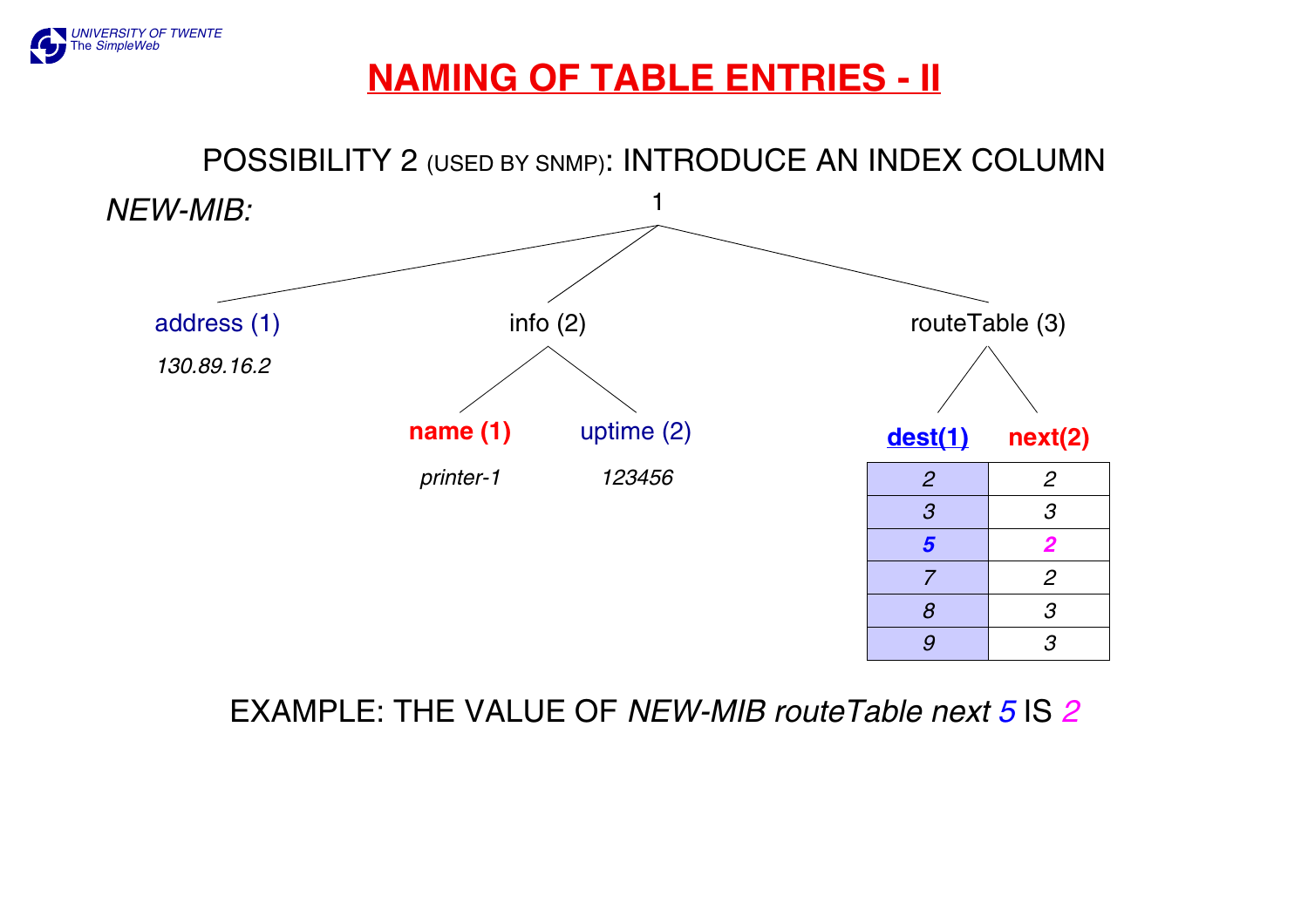

## **NAMING OF TABLE ENTRIES - II**



#### EXAMPLE: THE VALUE OF *NEW-MIB routeTable next 5* IS *2*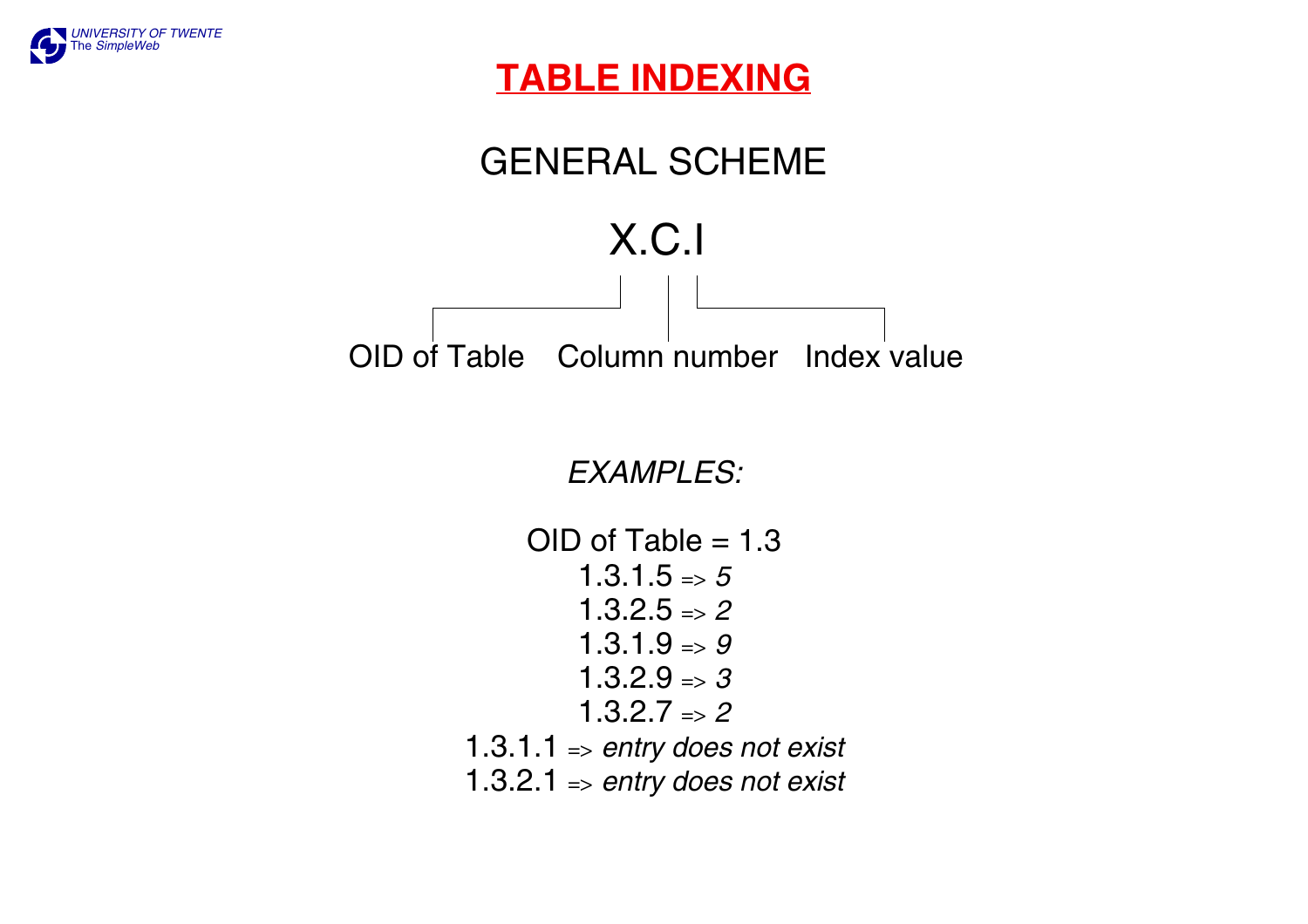

### **TABLE INDEXING**

## GENERAL SCHEME



*EXAMPLES:*

OID of Table = 1.3 1.3.1.5 => *5* 1.3.2.5 => *2* 1.3.1.9 => *9* 1.3.2.9 => *3* 1.3.2.7 => *2* 1.3.1.1 => *entry does not exist* 1.3.2.1 => *entry does not exist*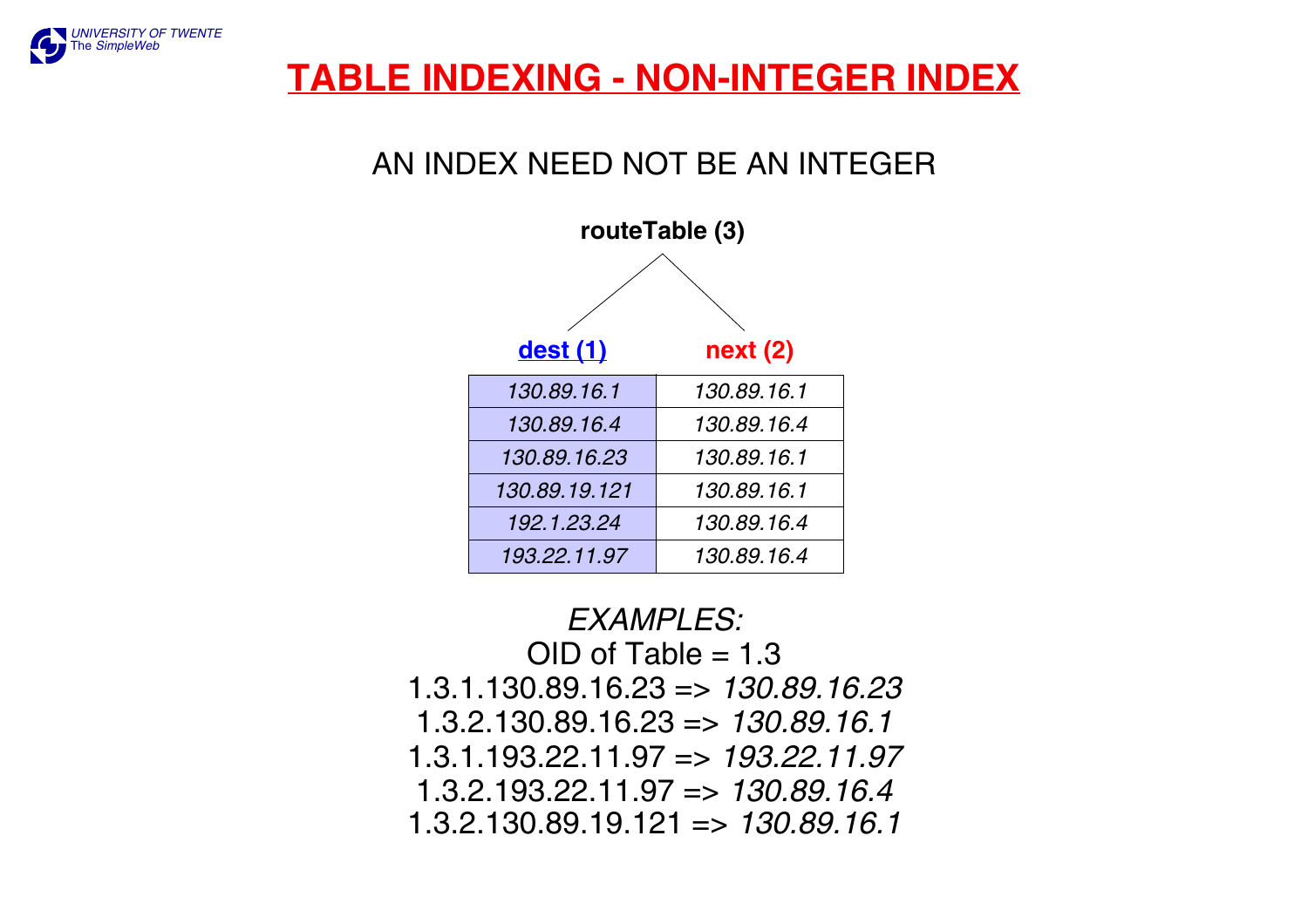

## **TABLE INDEXING - NON-INTEGER INDEX**

#### AN INDEX NEED NOT BE AN INTEGER



*EXAMPLES:* OID of Table = 1.3 1.3.1.130.89.16.23 => *130.89.16.23*1.3.2.130.89.16.23 => *130.89.16.1* 1.3.1.193.22.11.97 => *193.22.11.97*1.3.2.193.22.11.97 => *130.89.16.4*1.3.2.130.89.19.121 => *130.89.16.1*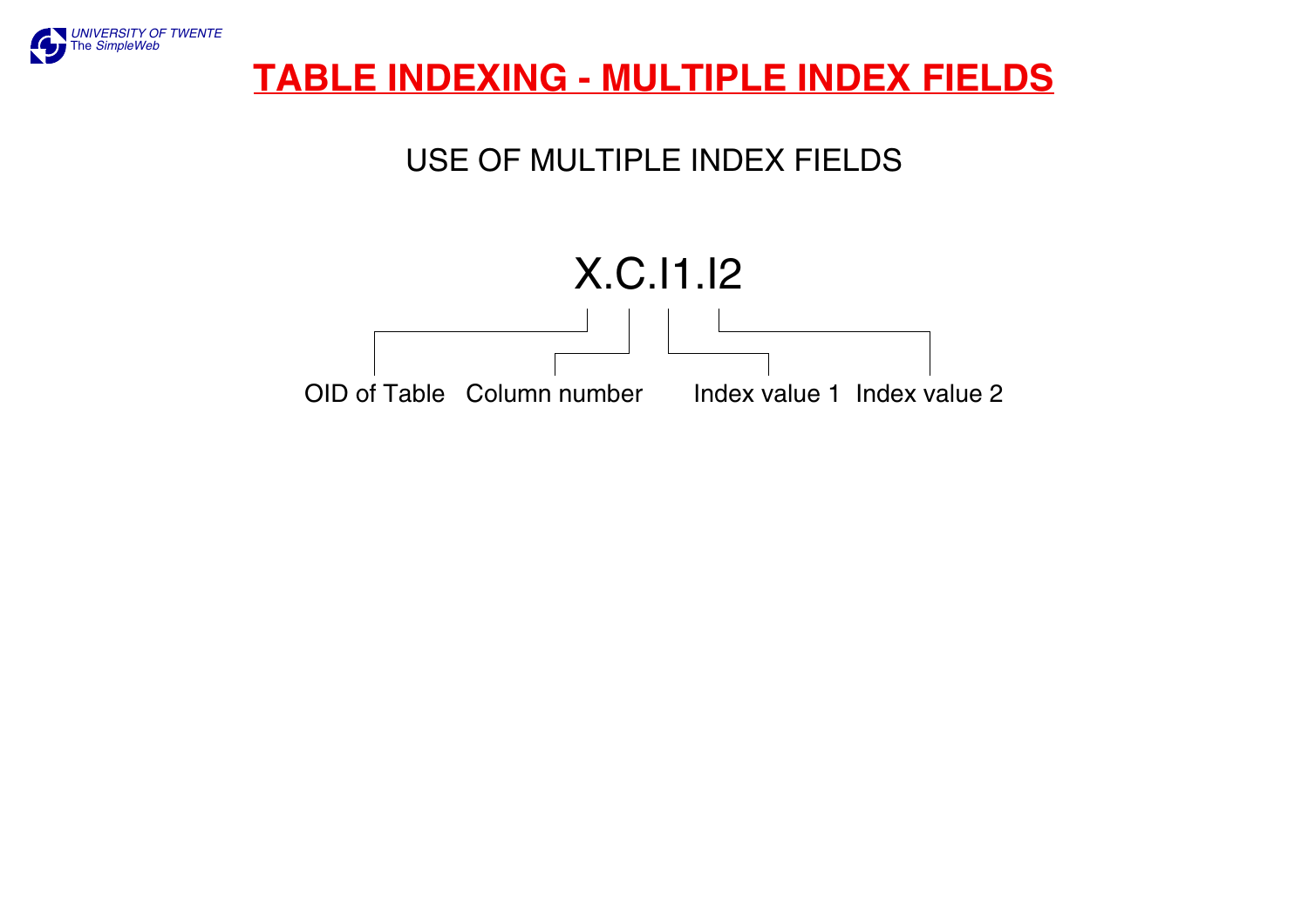

## **TABLE INDEXING - MULTIPLE INDEX FIELDS**

## USE OF MULTIPLE INDEX FIELDS

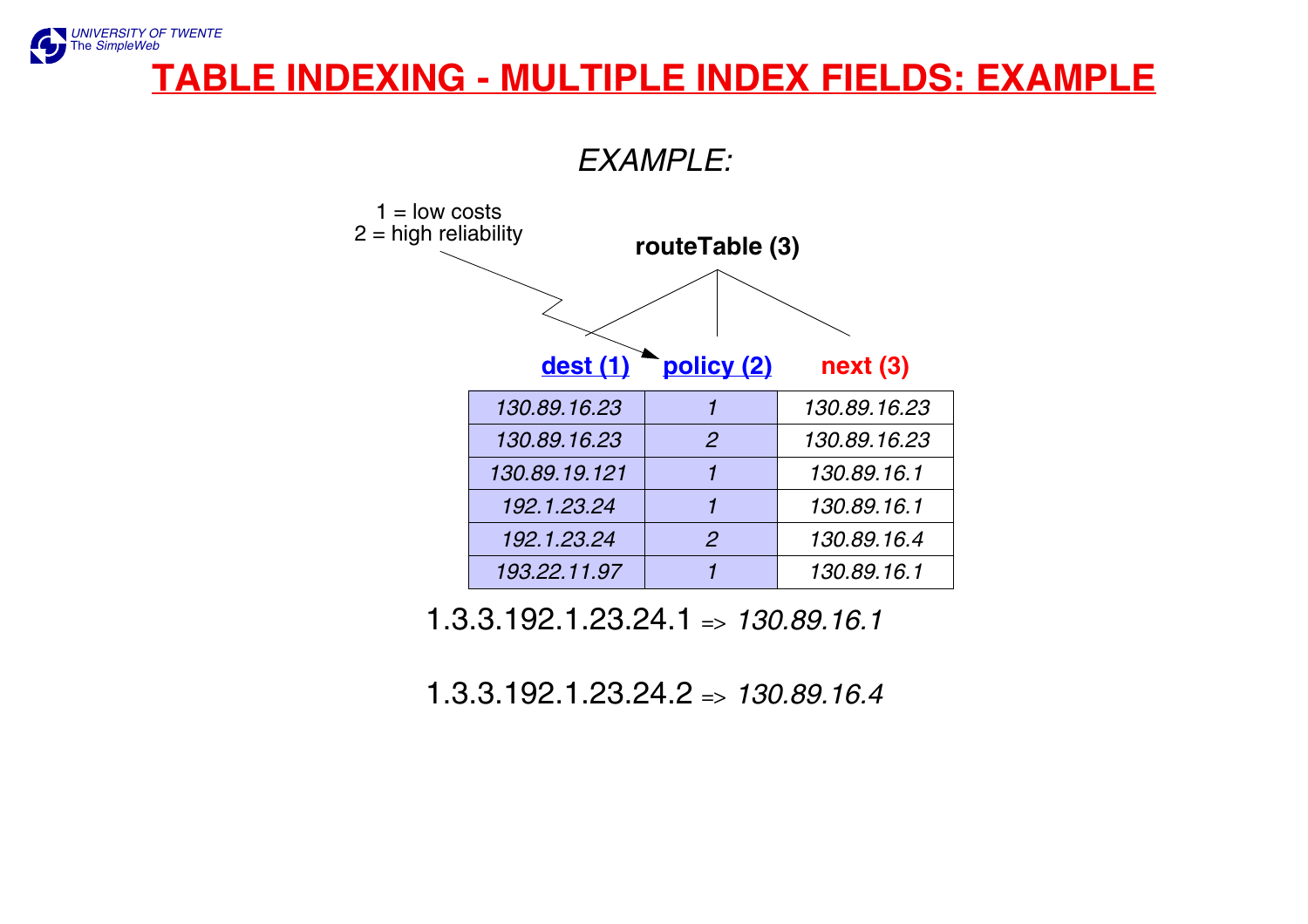#### *[UNIVERSITY OF TWENTE](http://www.utwente.nl)* The *[SimpleWeb](http://www.simpleweb.org/)* **TABLE INDEXING - MULTIPLE INDEX FIELDS: EXAMPLE**



1.3.3.192.1.23.24.1 => *130.89.16.1*

1.3.3.192.1.23.24.2 => *130.89.16.4*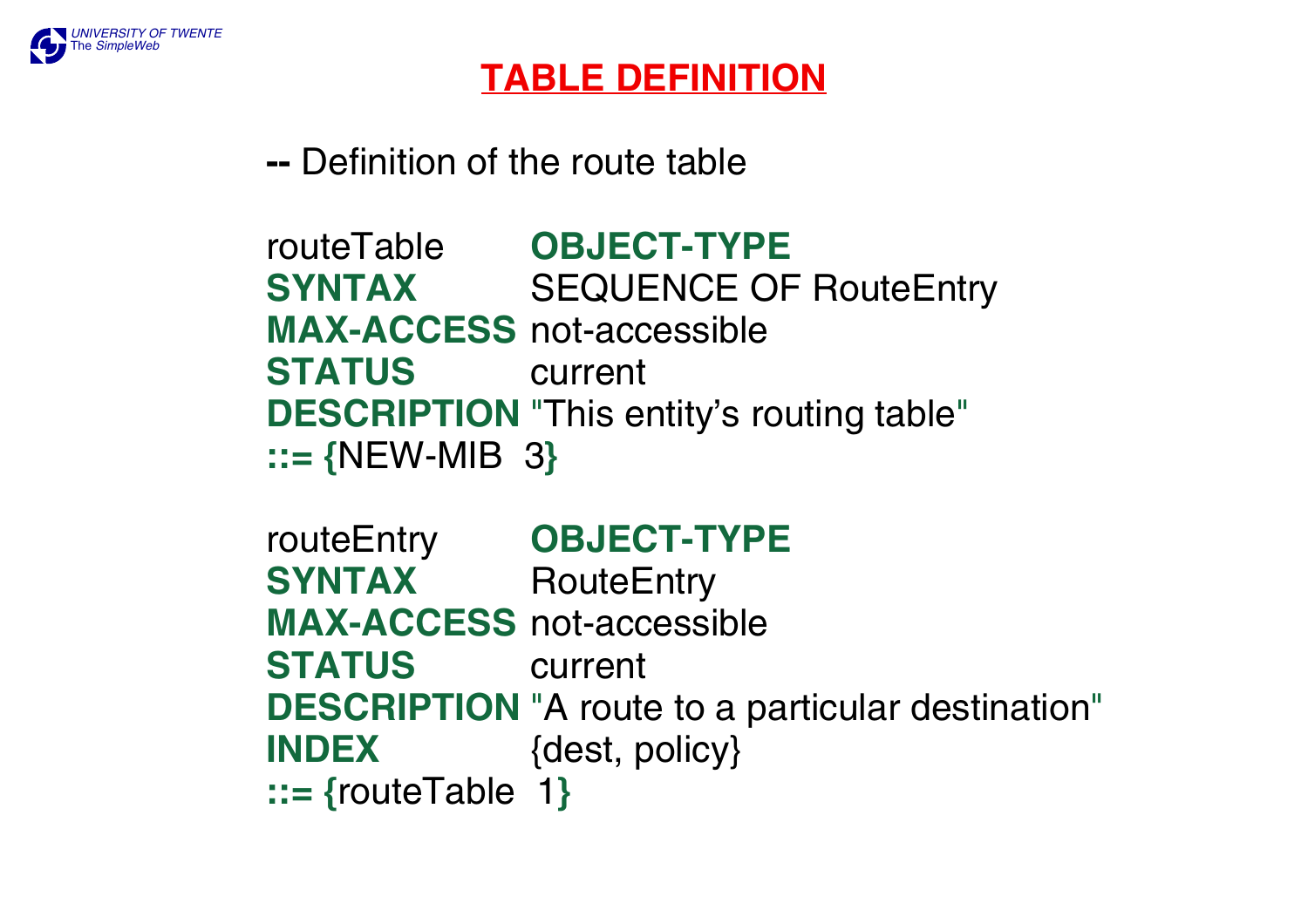

## **TABLE DEFINITION**

**--** Definition of the route table

routeTable **OBJECT-TYPE SYNTAX** SEQUENCE OF RouteEntry **MAX-ACCESS** not-accessible **STATUS** current **DESCRIPTION** "This entity's routing table" **::= {**NEW-MIB 3**}**

routeEntry **OBJECT-TYPE SYNTAX** RouteEntry **MAX-ACCESS** not-accessible **STATUS** current **DESCRIPTION** "A route to a particular destination" **INDEX** {dest, policy} **::= {**routeTable 1**}**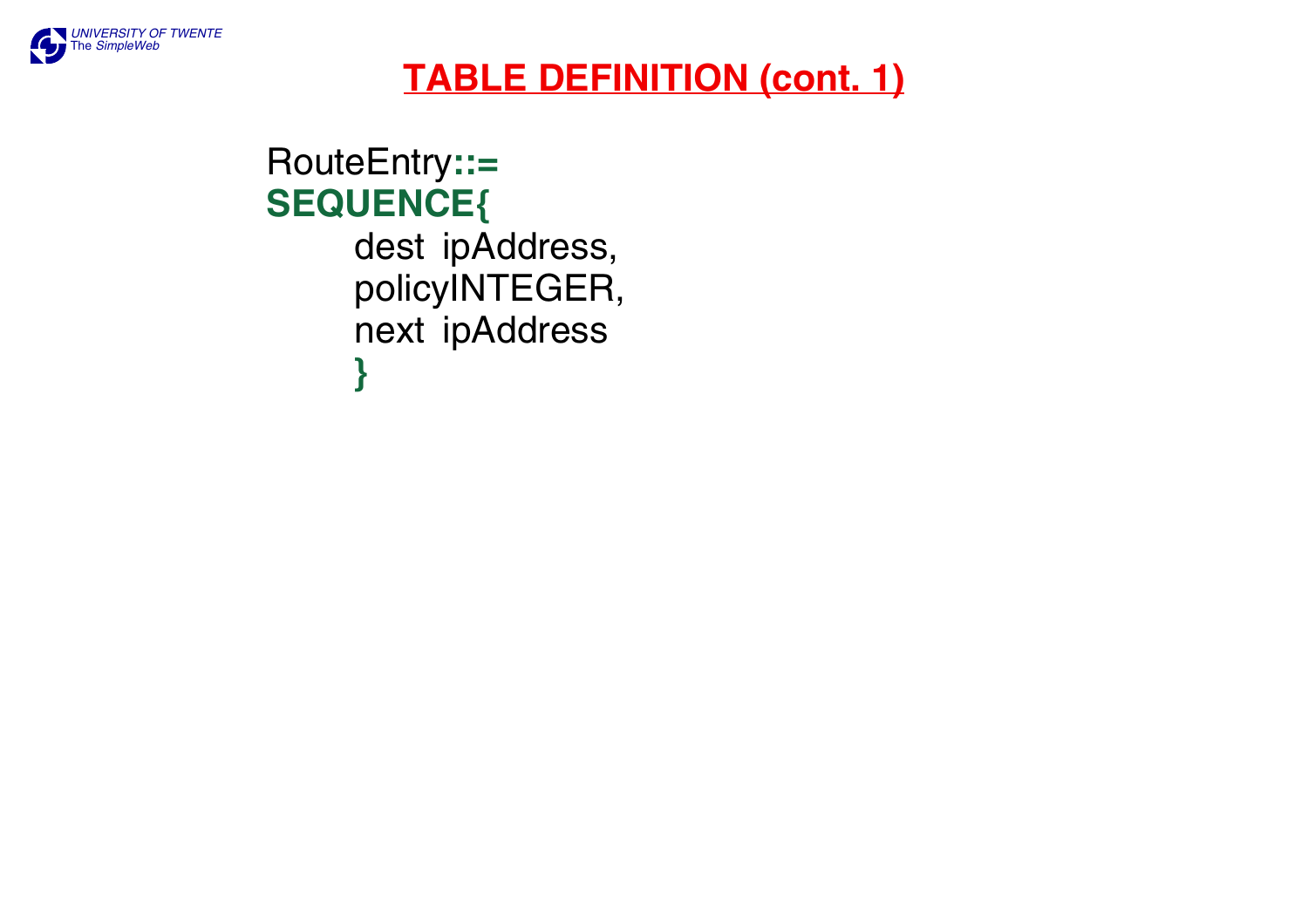

## **TABLE DEFINITION (cont. 1)**

## RouteEntry**::= SEQUENCE{** dest ipAddress, policyINTEGER, next ipAddress **}**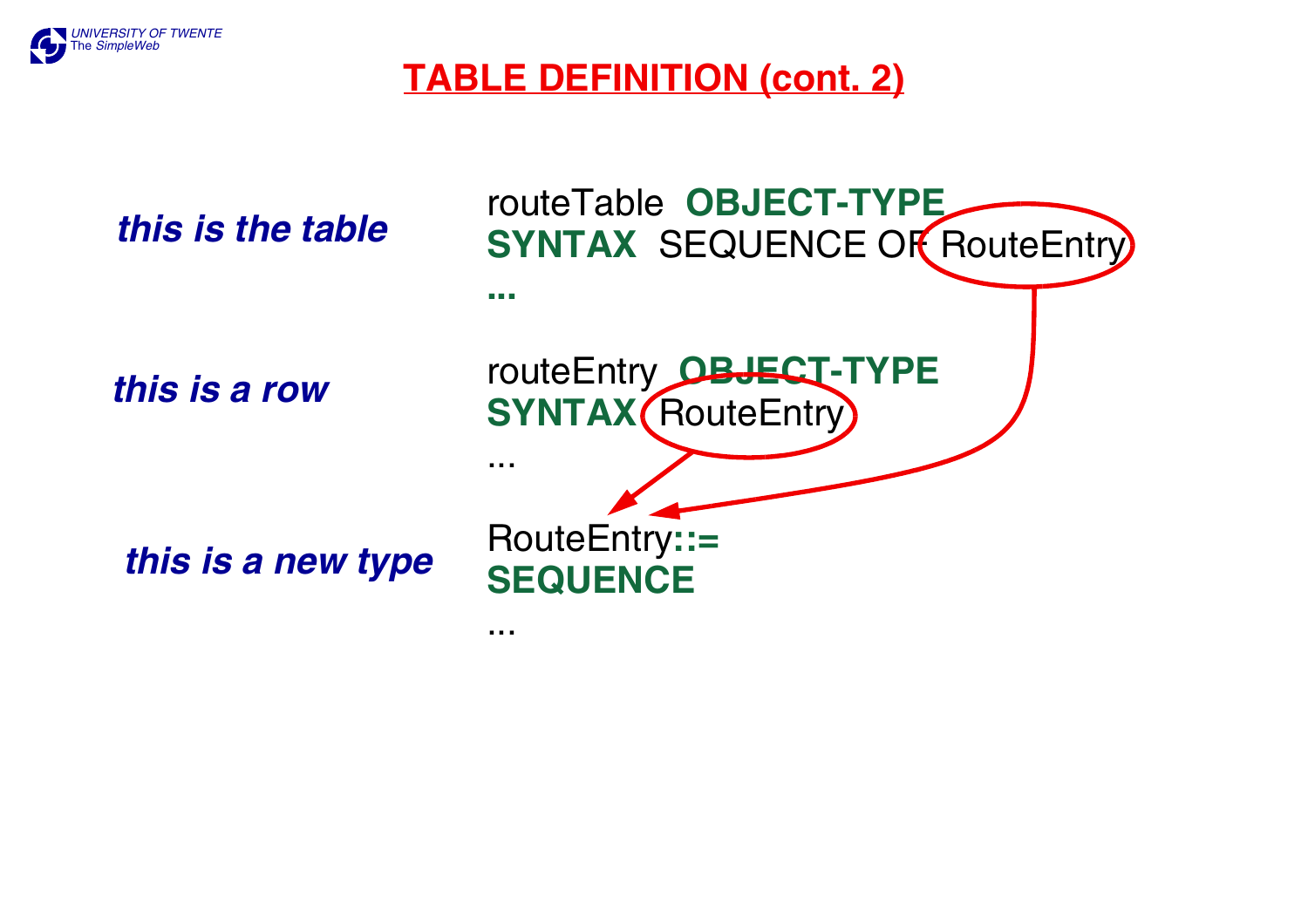

## **TABLE DEFINITION (cont. 2)**

*this is the table*

*this is a row*

*this is a new type*

...

routeTable **OBJECT-TYPE SYNTAX** SEQUENCE OF RouteEntry **...**routeEntry **OBJECT-TYPE SYNTAX** (RouteEntry) ...RouteEntry**::= SEQUENCE**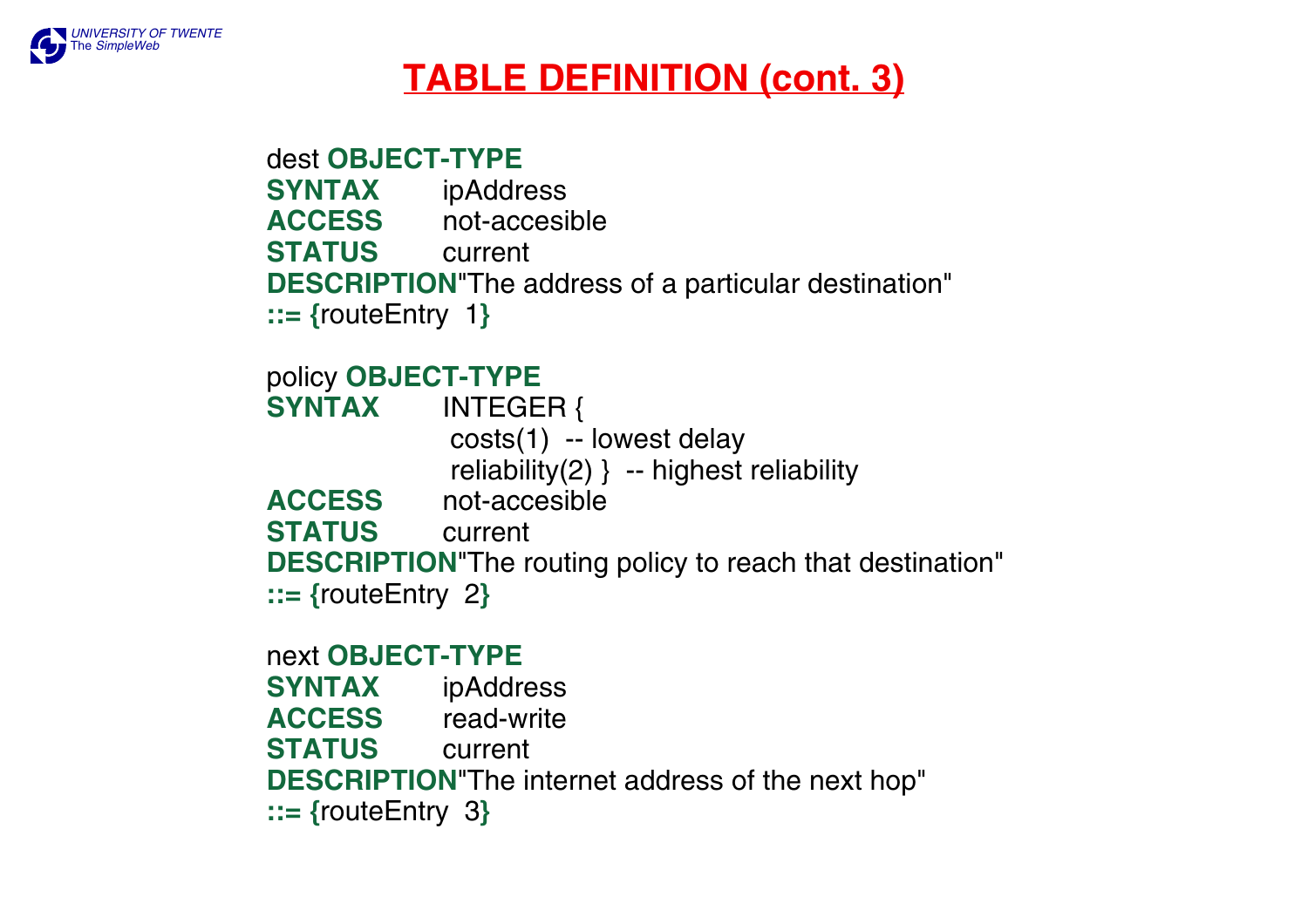

## **TABLE DEFINITION (cont. 3)**

dest **OBJECT-TYPESYNTAX** ipAddress **ACCESS** not-accesible **STATUS** current **DESCRIPTION**"The address of a particular destination" **::= {**routeEntry 1**}**

#### policy **OBJECT-TYPE**

**SYNTAX** INTEGER { costs(1) -- lowest delay reliability(2) } -- highest reliability **ACCESS** not-accesible **STATUS** current **DESCRIPTION**"The routing policy to reach that destination" **::= {**routeEntry 2**}**

next **OBJECT-TYPESYNTAX** ipAddress **ACCESS** read-write **STATUS** current **DESCRIPTION**"The internet address of the next hop" **::= {**routeEntry 3**}**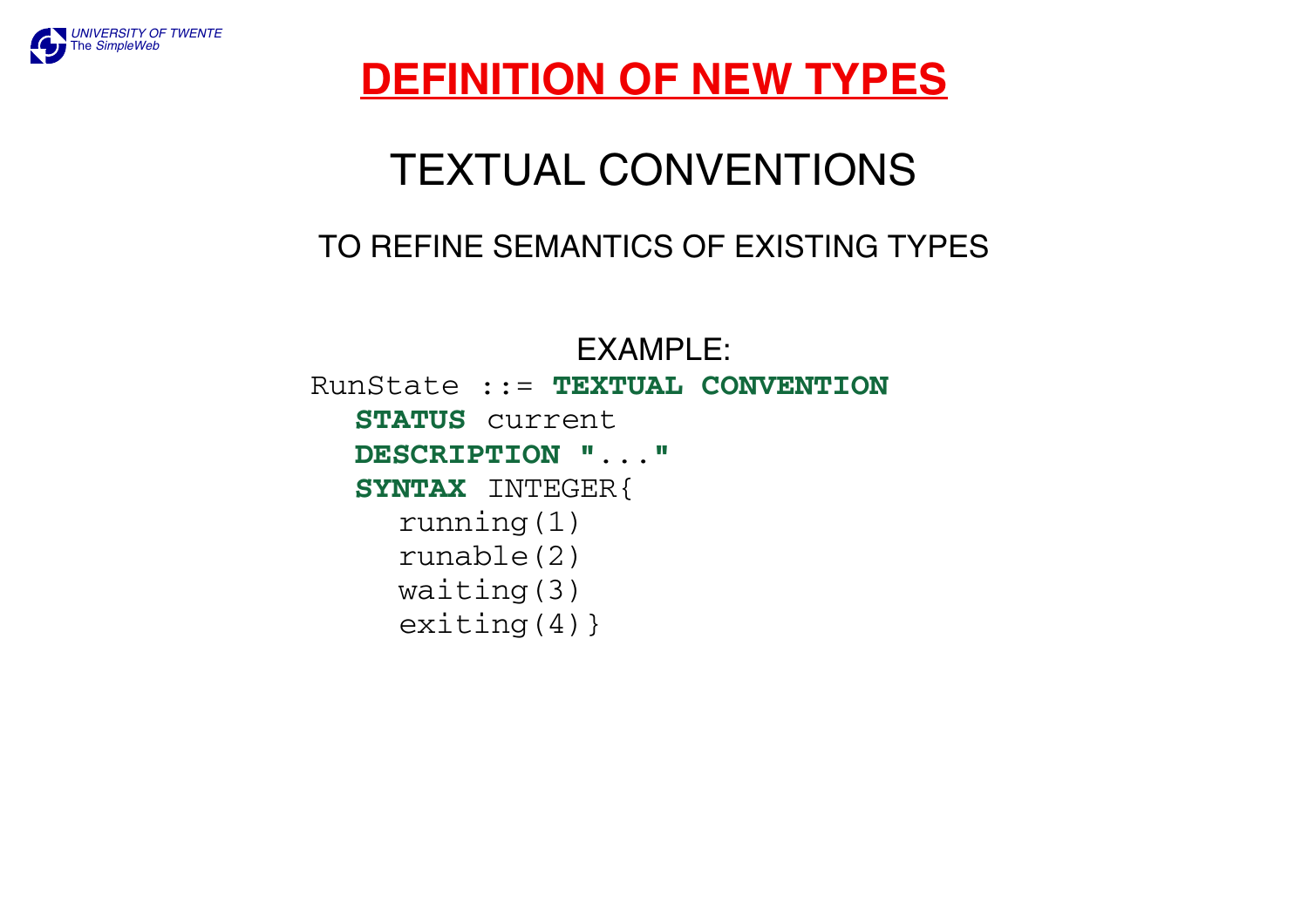

## **DEFINITION OF NEW TYPES**

# TEXTUAL CONVENTIONS

### TO REFINE SEMANTICS OF EXISTING TYPES

EXAMPLE:

RunState ::= **TEXTUAL CONVENTIONSTATUS** current **DESCRIPTION "**...**" SYNTAX** INTEGER{ running(1) runable(2) waiting(3) exiting(4)}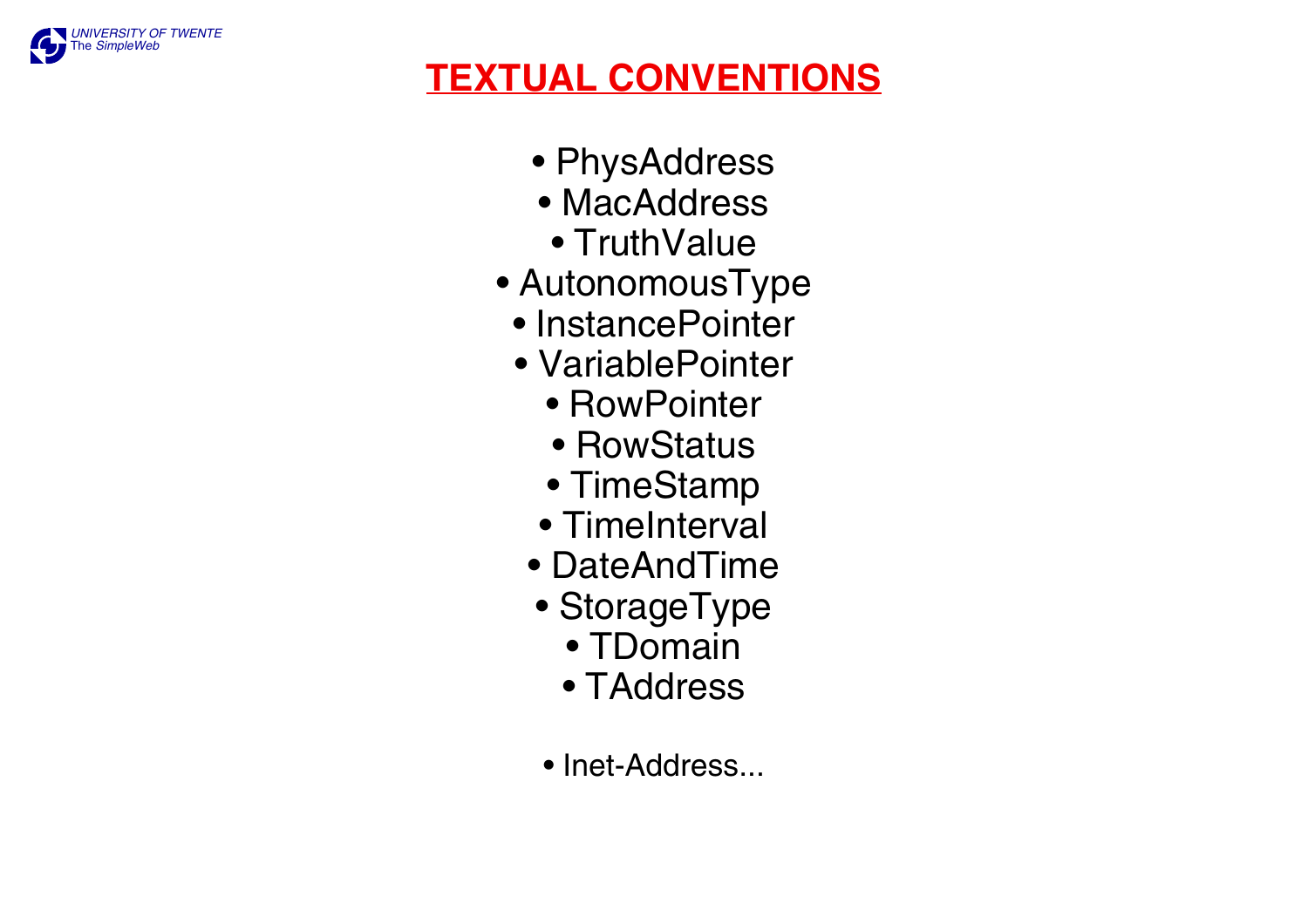

## **TEXTUAL CONVENTIONS**

- PhysAddress
- MacAddress
- TruthValue
- AutonomousType
	- InstancePointer
	- VariablePointer
		- RowPointer
		- RowStatus
		- TimeStamp
		- TimeInterval
	- DateAndTime
	- StorageType
		- TDomain
		- TAddress
	- Inet-Address...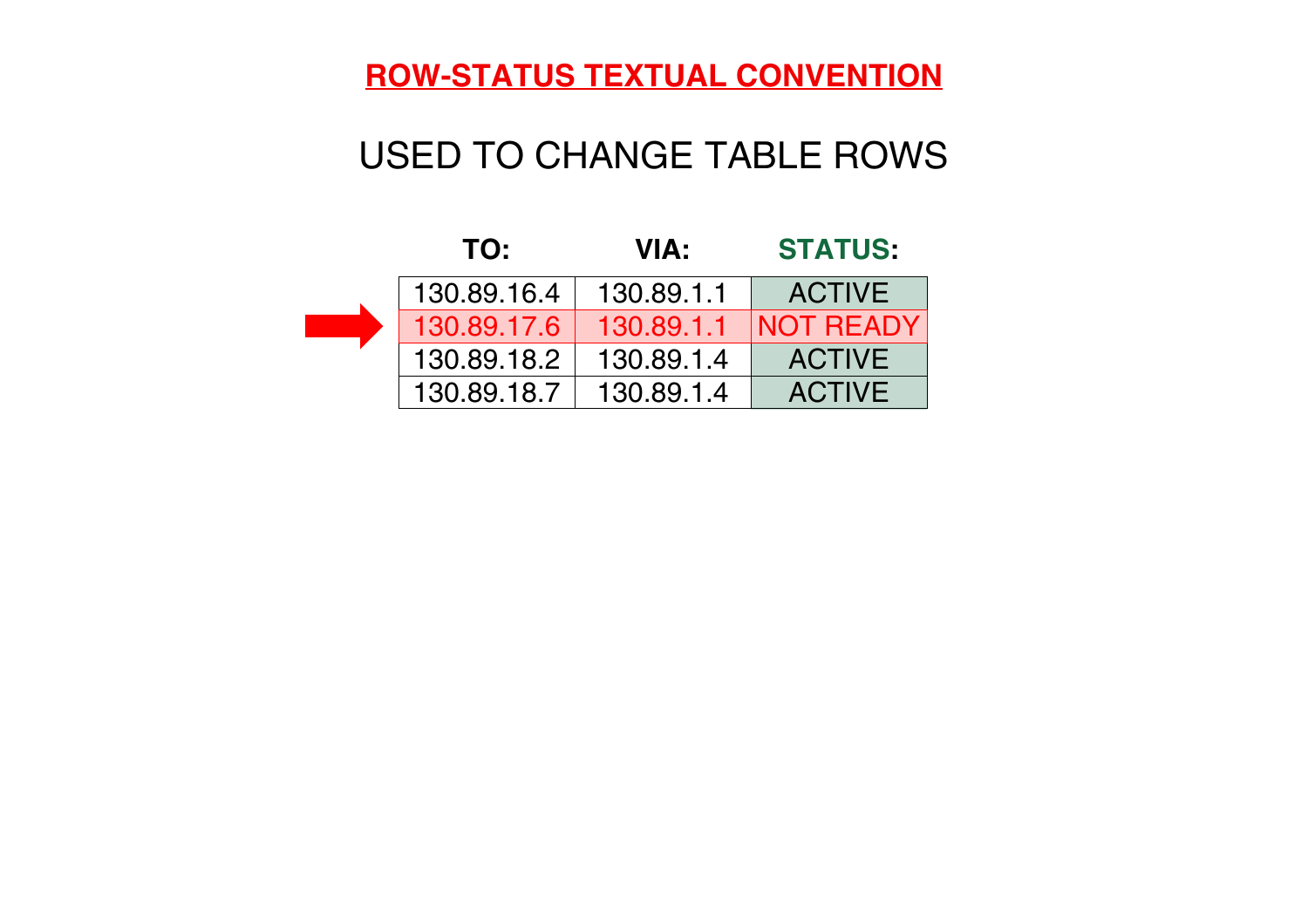#### **ROW-STATUS TEXTUAL CONVENTION**

## USED TO CHANGE TABLE ROWS

| TO:         | <b>VIA:</b> | <b>STATUS:</b>   |
|-------------|-------------|------------------|
| 130.89.16.4 | 130.89.1.1  | <b>ACTIVE</b>    |
| 130.89.17.6 | 130.89.1.1  | <b>NOT READY</b> |
| 130.89.18.2 | 130.89.1.4  | <b>ACTIVE</b>    |
| 130.89.18.7 | 130.89.1.4  | <b>ACTIVE</b>    |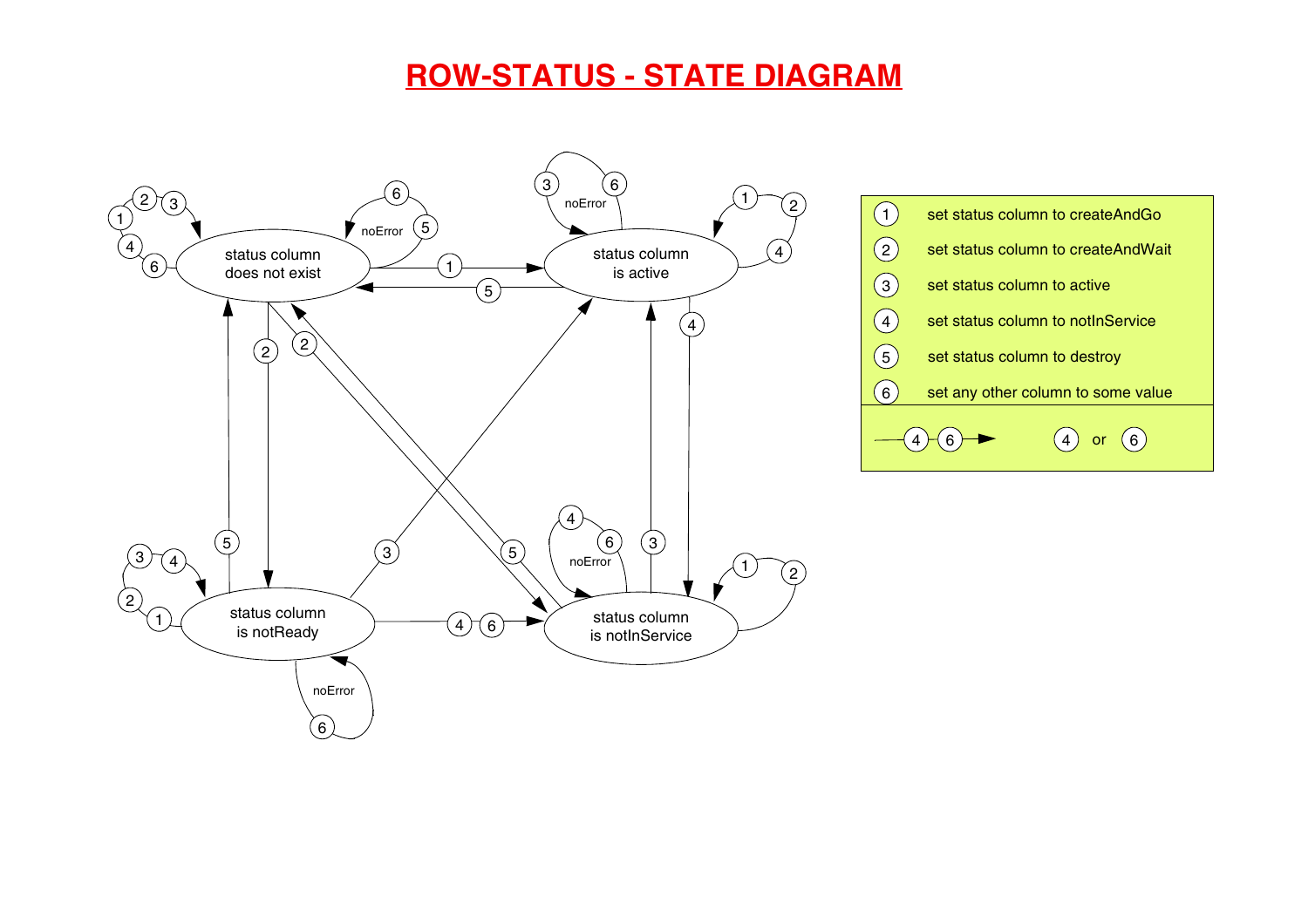#### **ROW-STATUS - STATE DIAGRAM**



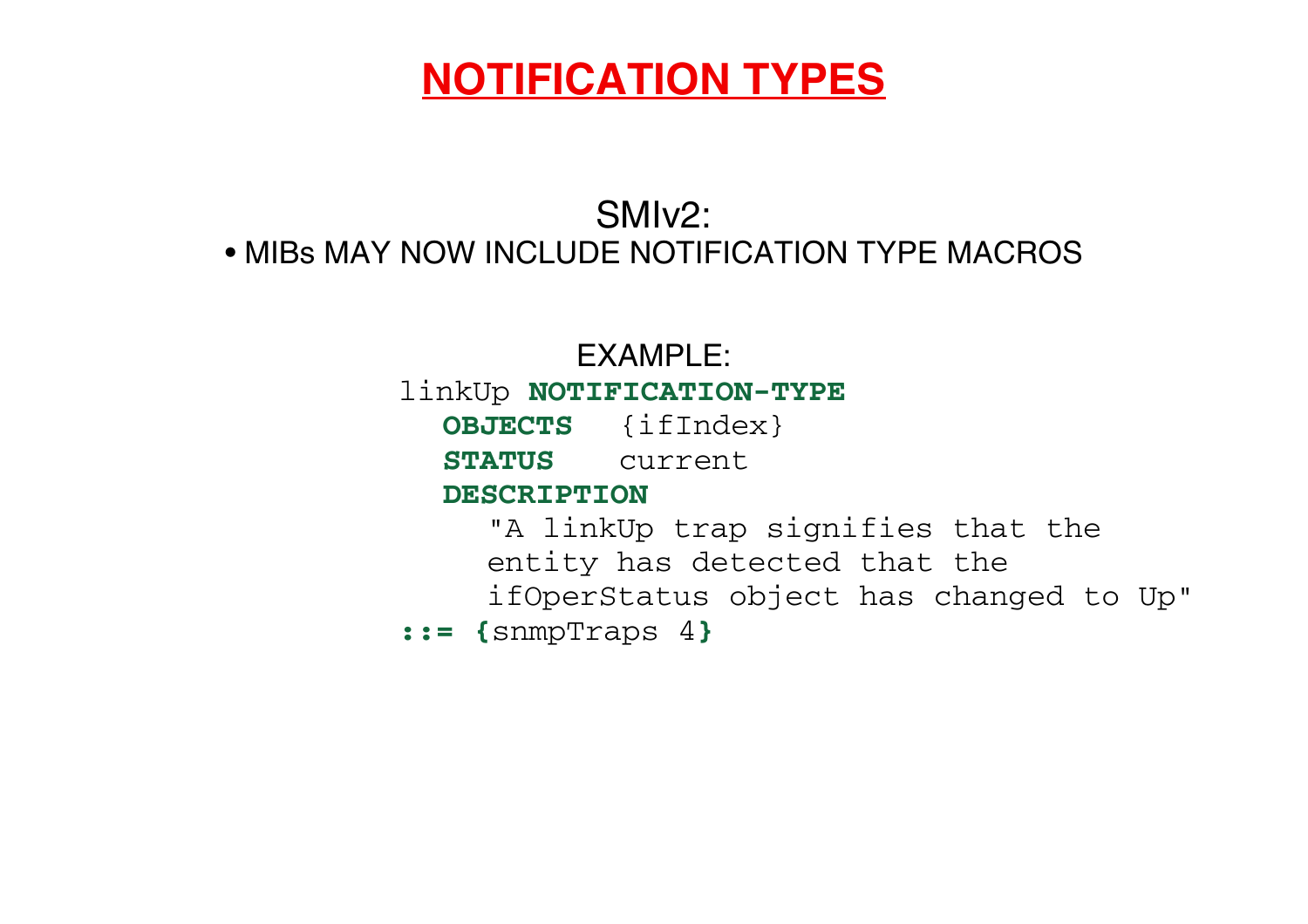## **NOTIFICATION TYPES**

### SMIv2: • MIBs MAY NOW INCLUDE NOTIFICATION TYPE MACROS

#### EXAMPLE:

#### linkUp **NOTIFICATION-TYPE**

**OBJECTS** {ifIndex}

**STATUS** current

#### **DESCRIPTION**

"A linkUp trap signifies that the

entity has detected that the

ifOperStatus object has changed to Up"

**::= {**snmpTraps 4 **}**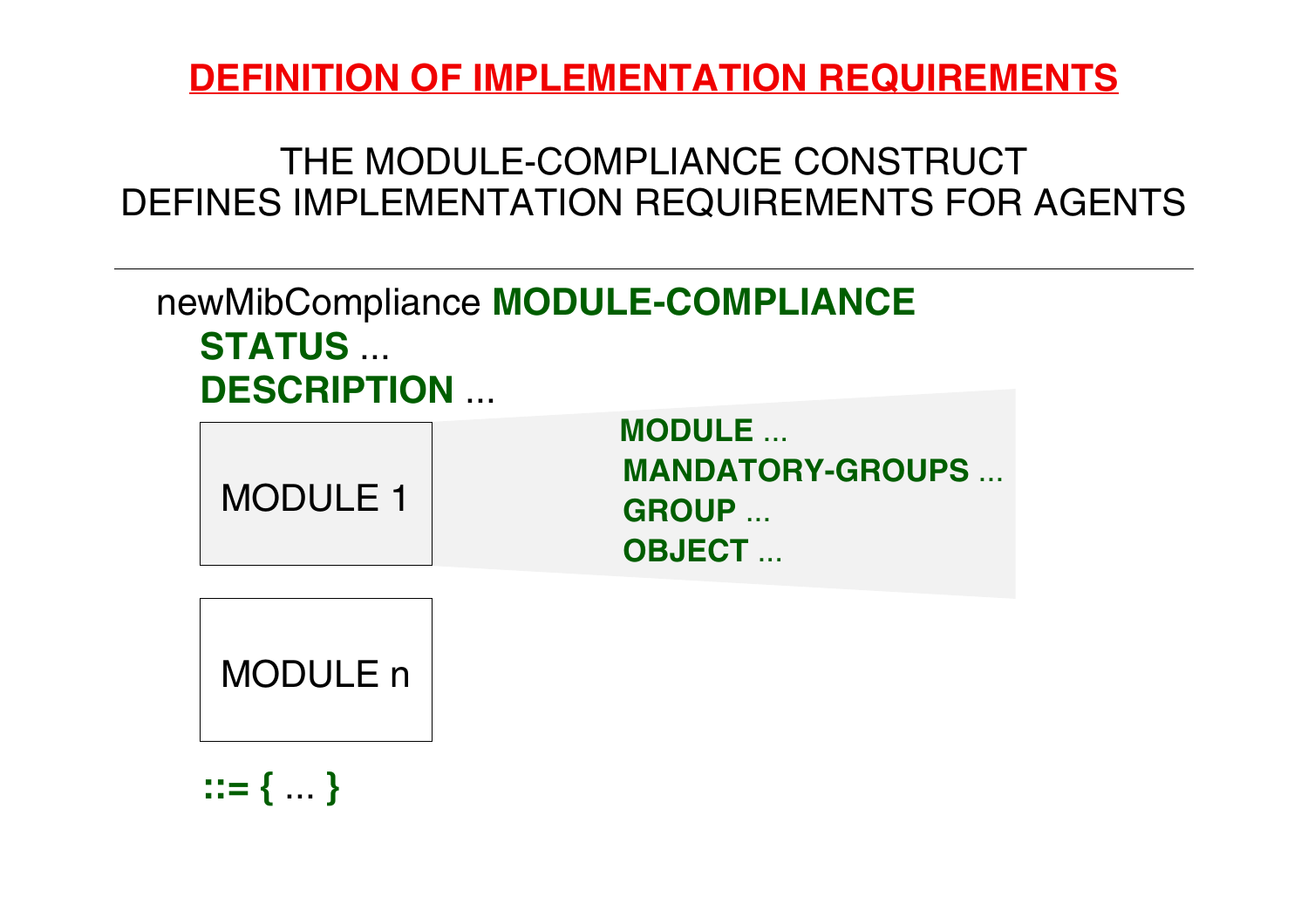## **DEFINITION OF IMPLEMENTATION REQUIREMENTS**

## THE MODULE-COMPLIANCE CONSTRUCTDEFINES IMPLEMENTATION REQUIREMENTS FOR AGENTS

newMibCompliance **MODULE-COMPLIANCE STATUS** ... **DESCRIPTION** ...

| <b>MODULE 1</b> | <b>MODULE</b>            |
|-----------------|--------------------------|
|                 | <b>MANDATORY-GROUPS </b> |
|                 | <b>GROUP</b>             |
|                 | <b>OBJECT</b>            |

MODULE n

**::= {** ... **}**